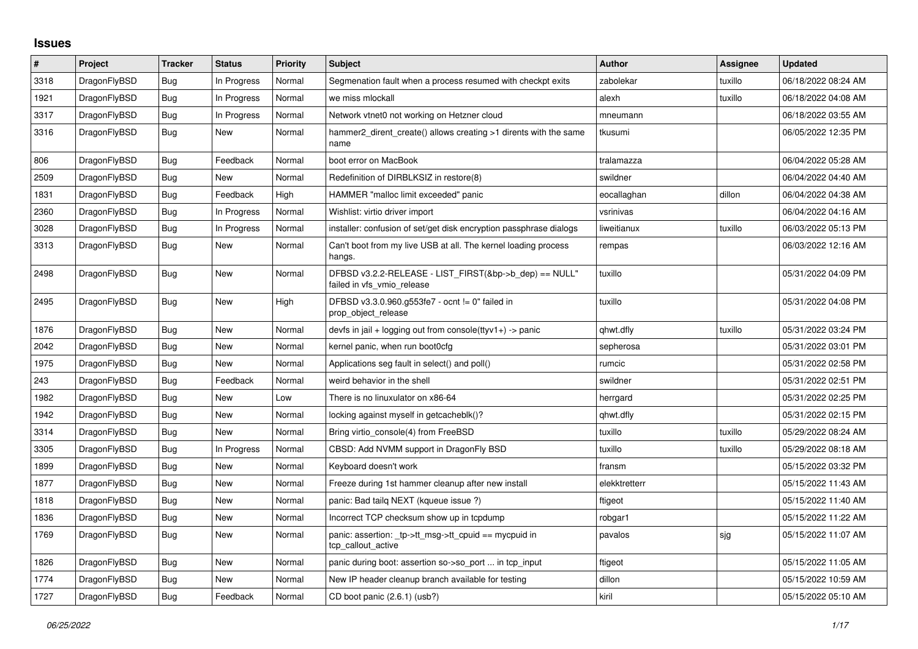## **Issues**

| #    | Project      | <b>Tracker</b> | <b>Status</b> | <b>Priority</b> | <b>Subject</b>                                                                       | <b>Author</b> | Assignee | <b>Updated</b>      |
|------|--------------|----------------|---------------|-----------------|--------------------------------------------------------------------------------------|---------------|----------|---------------------|
| 3318 | DragonFlyBSD | <b>Bug</b>     | In Progress   | Normal          | Segmenation fault when a process resumed with checkpt exits                          | zabolekar     | tuxillo  | 06/18/2022 08:24 AM |
| 1921 | DragonFlyBSD | <b>Bug</b>     | In Progress   | Normal          | we miss mlockall                                                                     | alexh         | tuxillo  | 06/18/2022 04:08 AM |
| 3317 | DragonFlyBSD | Bug            | In Progress   | Normal          | Network vtnet0 not working on Hetzner cloud                                          | mneumann      |          | 06/18/2022 03:55 AM |
| 3316 | DragonFlyBSD | Bug            | New           | Normal          | hammer2_dirent_create() allows creating >1 dirents with the same<br>name             | tkusumi       |          | 06/05/2022 12:35 PM |
| 806  | DragonFlyBSD | <b>Bug</b>     | Feedback      | Normal          | boot error on MacBook                                                                | tralamazza    |          | 06/04/2022 05:28 AM |
| 2509 | DragonFlyBSD | <b>Bug</b>     | <b>New</b>    | Normal          | Redefinition of DIRBLKSIZ in restore(8)                                              | swildner      |          | 06/04/2022 04:40 AM |
| 1831 | DragonFlyBSD | Bug            | Feedback      | High            | HAMMER "malloc limit exceeded" panic                                                 | eocallaghan   | dillon   | 06/04/2022 04:38 AM |
| 2360 | DragonFlyBSD | <b>Bug</b>     | In Progress   | Normal          | Wishlist: virtio driver import                                                       | vsrinivas     |          | 06/04/2022 04:16 AM |
| 3028 | DragonFlyBSD | <b>Bug</b>     | In Progress   | Normal          | installer: confusion of set/get disk encryption passphrase dialogs                   | liweitianux   | tuxillo  | 06/03/2022 05:13 PM |
| 3313 | DragonFlyBSD | Bug            | New           | Normal          | Can't boot from my live USB at all. The kernel loading process<br>hangs.             | rempas        |          | 06/03/2022 12:16 AM |
| 2498 | DragonFlyBSD | <b>Bug</b>     | <b>New</b>    | Normal          | DFBSD v3.2.2-RELEASE - LIST_FIRST(&bp->b_dep) == NULL"<br>failed in vfs vmio release | tuxillo       |          | 05/31/2022 04:09 PM |
| 2495 | DragonFlyBSD | <b>Bug</b>     | New           | High            | DFBSD v3.3.0.960.g553fe7 - ocnt != 0" failed in<br>prop_object_release               | tuxillo       |          | 05/31/2022 04:08 PM |
| 1876 | DragonFlyBSD | Bug            | New           | Normal          | devfs in jail + logging out from console(ttyv1+) -> panic                            | qhwt.dfly     | tuxillo  | 05/31/2022 03:24 PM |
| 2042 | DragonFlyBSD | Bug            | New           | Normal          | kernel panic, when run boot0cfg                                                      | sepherosa     |          | 05/31/2022 03:01 PM |
| 1975 | DragonFlyBSD | Bug            | <b>New</b>    | Normal          | Applications seg fault in select() and poll()                                        | rumcic        |          | 05/31/2022 02:58 PM |
| 243  | DragonFlyBSD | Bug            | Feedback      | Normal          | weird behavior in the shell                                                          | swildner      |          | 05/31/2022 02:51 PM |
| 1982 | DragonFlyBSD | Bug            | New           | Low             | There is no linuxulator on x86-64                                                    | herrgard      |          | 05/31/2022 02:25 PM |
| 1942 | DragonFlyBSD | Bug            | New           | Normal          | locking against myself in getcacheblk()?                                             | qhwt.dfly     |          | 05/31/2022 02:15 PM |
| 3314 | DragonFlyBSD | <b>Bug</b>     | New           | Normal          | Bring virtio console(4) from FreeBSD                                                 | tuxillo       | tuxillo  | 05/29/2022 08:24 AM |
| 3305 | DragonFlyBSD | Bug            | In Progress   | Normal          | CBSD: Add NVMM support in DragonFly BSD                                              | tuxillo       | tuxillo  | 05/29/2022 08:18 AM |
| 1899 | DragonFlyBSD | Bug            | <b>New</b>    | Normal          | Keyboard doesn't work                                                                | fransm        |          | 05/15/2022 03:32 PM |
| 1877 | DragonFlyBSD | <b>Bug</b>     | New           | Normal          | Freeze during 1st hammer cleanup after new install                                   | elekktretterr |          | 05/15/2022 11:43 AM |
| 1818 | DragonFlyBSD | Bug            | New           | Normal          | panic: Bad tailg NEXT (kqueue issue ?)                                               | ftigeot       |          | 05/15/2022 11:40 AM |
| 1836 | DragonFlyBSD | Bug            | New           | Normal          | Incorrect TCP checksum show up in tcpdump                                            | robgar1       |          | 05/15/2022 11:22 AM |
| 1769 | DragonFlyBSD | Bug            | New           | Normal          | panic: assertion: _tp->tt_msg->tt_cpuid == mycpuid in<br>tcp_callout_active          | pavalos       | sjg      | 05/15/2022 11:07 AM |
| 1826 | DragonFlyBSD | Bug            | New           | Normal          | panic during boot: assertion so->so port  in tcp input                               | ftigeot       |          | 05/15/2022 11:05 AM |
| 1774 | DragonFlyBSD | <b>Bug</b>     | New           | Normal          | New IP header cleanup branch available for testing                                   | dillon        |          | 05/15/2022 10:59 AM |
| 1727 | DragonFlyBSD | <b>Bug</b>     | Feedback      | Normal          | CD boot panic (2.6.1) (usb?)                                                         | kiril         |          | 05/15/2022 05:10 AM |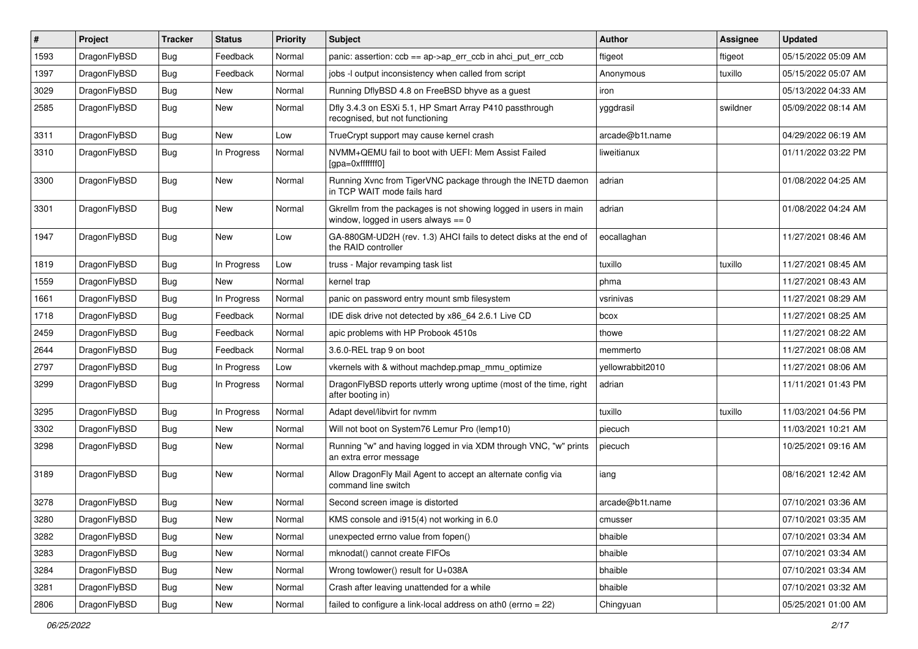| ∦    | Project      | <b>Tracker</b> | <b>Status</b> | <b>Priority</b> | <b>Subject</b>                                                                                            | Author           | <b>Assignee</b> | <b>Updated</b>      |
|------|--------------|----------------|---------------|-----------------|-----------------------------------------------------------------------------------------------------------|------------------|-----------------|---------------------|
| 1593 | DragonFlyBSD | Bug            | Feedback      | Normal          | panic: assertion: ccb == ap->ap_err_ccb in ahci_put_err_ccb                                               | ftigeot          | ftigeot         | 05/15/2022 05:09 AM |
| 1397 | DragonFlyBSD | <b>Bug</b>     | Feedback      | Normal          | jobs -I output inconsistency when called from script                                                      | Anonymous        | tuxillo         | 05/15/2022 05:07 AM |
| 3029 | DragonFlyBSD | <b>Bug</b>     | <b>New</b>    | Normal          | Running DflyBSD 4.8 on FreeBSD bhyve as a guest                                                           | iron             |                 | 05/13/2022 04:33 AM |
| 2585 | DragonFlyBSD | Bug            | New           | Normal          | Dfly 3.4.3 on ESXi 5.1, HP Smart Array P410 passthrough<br>recognised, but not functioning                | yggdrasil        | swildner        | 05/09/2022 08:14 AM |
| 3311 | DragonFlyBSD | <b>Bug</b>     | New           | Low             | TrueCrypt support may cause kernel crash                                                                  | arcade@b1t.name  |                 | 04/29/2022 06:19 AM |
| 3310 | DragonFlyBSD | <b>Bug</b>     | In Progress   | Normal          | NVMM+QEMU fail to boot with UEFI: Mem Assist Failed<br>[gpa=0xfffffff0]                                   | liweitianux      |                 | 01/11/2022 03:22 PM |
| 3300 | DragonFlyBSD | Bug            | <b>New</b>    | Normal          | Running Xvnc from TigerVNC package through the INETD daemon<br>in TCP WAIT mode fails hard                | adrian           |                 | 01/08/2022 04:25 AM |
| 3301 | DragonFlyBSD | Bug            | <b>New</b>    | Normal          | Gkrellm from the packages is not showing logged in users in main<br>window, logged in users always $== 0$ | adrian           |                 | 01/08/2022 04:24 AM |
| 1947 | DragonFlyBSD | Bug            | New           | Low             | GA-880GM-UD2H (rev. 1.3) AHCI fails to detect disks at the end of<br>the RAID controller                  | eocallaghan      |                 | 11/27/2021 08:46 AM |
| 1819 | DragonFlyBSD | Bug            | In Progress   | Low             | truss - Major revamping task list                                                                         | tuxillo          | tuxillo         | 11/27/2021 08:45 AM |
| 1559 | DragonFlyBSD | Bug            | New           | Normal          | kernel trap                                                                                               | phma             |                 | 11/27/2021 08:43 AM |
| 1661 | DragonFlyBSD | <b>Bug</b>     | In Progress   | Normal          | panic on password entry mount smb filesystem                                                              | vsrinivas        |                 | 11/27/2021 08:29 AM |
| 1718 | DragonFlyBSD | Bug            | Feedback      | Normal          | IDE disk drive not detected by x86_64 2.6.1 Live CD                                                       | bcox             |                 | 11/27/2021 08:25 AM |
| 2459 | DragonFlyBSD | Bug            | Feedback      | Normal          | apic problems with HP Probook 4510s                                                                       | thowe            |                 | 11/27/2021 08:22 AM |
| 2644 | DragonFlyBSD | <b>Bug</b>     | Feedback      | Normal          | 3.6.0-REL trap 9 on boot                                                                                  | memmerto         |                 | 11/27/2021 08:08 AM |
| 2797 | DragonFlyBSD | <b>Bug</b>     | In Progress   | Low             | vkernels with & without machdep.pmap_mmu_optimize                                                         | yellowrabbit2010 |                 | 11/27/2021 08:06 AM |
| 3299 | DragonFlyBSD | Bug            | In Progress   | Normal          | DragonFlyBSD reports utterly wrong uptime (most of the time, right<br>after booting in)                   | adrian           |                 | 11/11/2021 01:43 PM |
| 3295 | DragonFlyBSD | Bug            | In Progress   | Normal          | Adapt devel/libvirt for nvmm                                                                              | tuxillo          | tuxillo         | 11/03/2021 04:56 PM |
| 3302 | DragonFlyBSD | Bug            | New           | Normal          | Will not boot on System76 Lemur Pro (lemp10)                                                              | piecuch          |                 | 11/03/2021 10:21 AM |
| 3298 | DragonFlyBSD | Bug            | New           | Normal          | Running "w" and having logged in via XDM through VNC, "w" prints<br>an extra error message                | piecuch          |                 | 10/25/2021 09:16 AM |
| 3189 | DragonFlyBSD | Bug            | New           | Normal          | Allow DragonFly Mail Agent to accept an alternate config via<br>command line switch                       | iang             |                 | 08/16/2021 12:42 AM |
| 3278 | DragonFlyBSD | Bug            | New           | Normal          | Second screen image is distorted                                                                          | arcade@b1t.name  |                 | 07/10/2021 03:36 AM |
| 3280 | DragonFlyBSD | Bug            | New           | Normal          | KMS console and i915(4) not working in 6.0                                                                | cmusser          |                 | 07/10/2021 03:35 AM |
| 3282 | DragonFlyBSD | Bug            | New           | Normal          | unexpected errno value from fopen()                                                                       | bhaible          |                 | 07/10/2021 03:34 AM |
| 3283 | DragonFlyBSD | <b>Bug</b>     | New           | Normal          | mknodat() cannot create FIFOs                                                                             | bhaible          |                 | 07/10/2021 03:34 AM |
| 3284 | DragonFlyBSD | Bug            | New           | Normal          | Wrong towlower() result for U+038A                                                                        | bhaible          |                 | 07/10/2021 03:34 AM |
| 3281 | DragonFlyBSD | <b>Bug</b>     | New           | Normal          | Crash after leaving unattended for a while                                                                | bhaible          |                 | 07/10/2021 03:32 AM |
| 2806 | DragonFlyBSD | Bug            | New           | Normal          | failed to configure a link-local address on ath0 (errno = 22)                                             | Chingyuan        |                 | 05/25/2021 01:00 AM |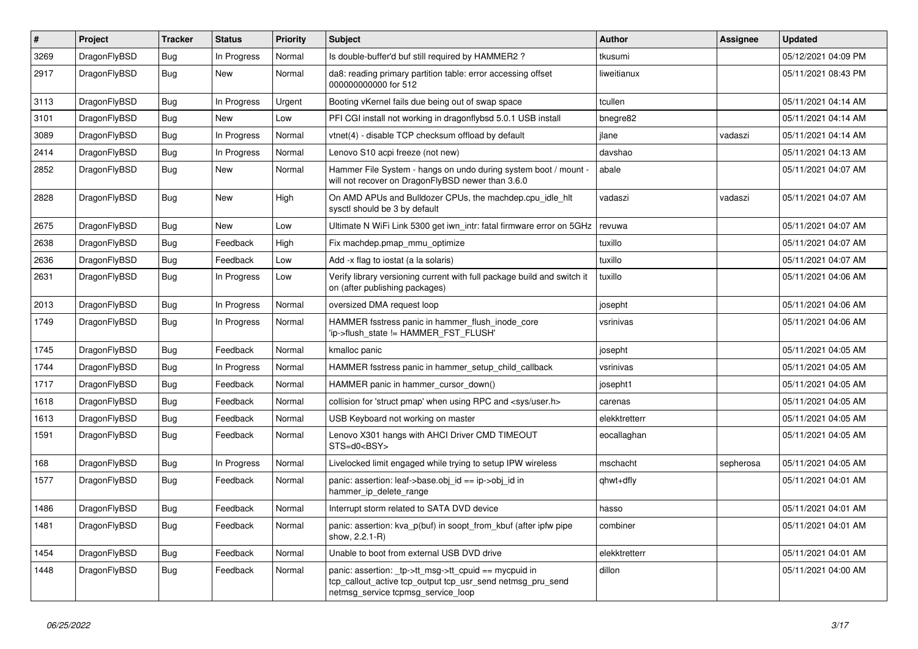| $\vert$ # | Project      | <b>Tracker</b> | <b>Status</b> | <b>Priority</b> | <b>Subject</b>                                                                                                                                            | <b>Author</b> | <b>Assignee</b> | <b>Updated</b>      |
|-----------|--------------|----------------|---------------|-----------------|-----------------------------------------------------------------------------------------------------------------------------------------------------------|---------------|-----------------|---------------------|
| 3269      | DragonFlyBSD | Bug            | In Progress   | Normal          | Is double-buffer'd buf still required by HAMMER2 ?                                                                                                        | tkusumi       |                 | 05/12/2021 04:09 PM |
| 2917      | DragonFlyBSD | Bug            | <b>New</b>    | Normal          | da8: reading primary partition table: error accessing offset<br>000000000000 for 512                                                                      | liweitianux   |                 | 05/11/2021 08:43 PM |
| 3113      | DragonFlyBSD | Bug            | In Progress   | Urgent          | Booting vKernel fails due being out of swap space                                                                                                         | tcullen       |                 | 05/11/2021 04:14 AM |
| 3101      | DragonFlyBSD | <b>Bug</b>     | <b>New</b>    | Low             | PFI CGI install not working in dragonflybsd 5.0.1 USB install                                                                                             | bnegre82      |                 | 05/11/2021 04:14 AM |
| 3089      | DragonFlyBSD | Bug            | In Progress   | Normal          | vtnet(4) - disable TCP checksum offload by default                                                                                                        | jlane         | vadaszi         | 05/11/2021 04:14 AM |
| 2414      | DragonFlyBSD | <b>Bug</b>     | In Progress   | Normal          | Lenovo S10 acpi freeze (not new)                                                                                                                          | davshao       |                 | 05/11/2021 04:13 AM |
| 2852      | DragonFlyBSD | <b>Bug</b>     | <b>New</b>    | Normal          | Hammer File System - hangs on undo during system boot / mount -<br>will not recover on DragonFlyBSD newer than 3.6.0                                      | abale         |                 | 05/11/2021 04:07 AM |
| 2828      | DragonFlyBSD | <b>Bug</b>     | <b>New</b>    | High            | On AMD APUs and Bulldozer CPUs, the machdep.cpu idle hit<br>sysctl should be 3 by default                                                                 | vadaszi       | vadaszi         | 05/11/2021 04:07 AM |
| 2675      | DragonFlyBSD | Bug            | New           | Low             | Ultimate N WiFi Link 5300 get iwn intr: fatal firmware error on 5GHz                                                                                      | revuwa        |                 | 05/11/2021 04:07 AM |
| 2638      | DragonFlyBSD | <b>Bug</b>     | Feedback      | High            | Fix machdep.pmap mmu optimize                                                                                                                             | tuxillo       |                 | 05/11/2021 04:07 AM |
| 2636      | DragonFlyBSD | <b>Bug</b>     | Feedback      | Low             | Add -x flag to iostat (a la solaris)                                                                                                                      | tuxillo       |                 | 05/11/2021 04:07 AM |
| 2631      | DragonFlyBSD | <b>Bug</b>     | In Progress   | Low             | Verify library versioning current with full package build and switch it<br>on (after publishing packages)                                                 | tuxillo       |                 | 05/11/2021 04:06 AM |
| 2013      | DragonFlyBSD | <b>Bug</b>     | In Progress   | Normal          | oversized DMA request loop                                                                                                                                | josepht       |                 | 05/11/2021 04:06 AM |
| 1749      | DragonFlyBSD | Bug            | In Progress   | Normal          | HAMMER fsstress panic in hammer flush inode core<br>'ip->flush_state != HAMMER_FST_FLUSH'                                                                 | vsrinivas     |                 | 05/11/2021 04:06 AM |
| 1745      | DragonFlyBSD | Bug            | Feedback      | Normal          | kmalloc panic                                                                                                                                             | josepht       |                 | 05/11/2021 04:05 AM |
| 1744      | DragonFlyBSD | Bug            | In Progress   | Normal          | HAMMER fsstress panic in hammer setup child callback                                                                                                      | vsrinivas     |                 | 05/11/2021 04:05 AM |
| 1717      | DragonFlyBSD | <b>Bug</b>     | Feedback      | Normal          | HAMMER panic in hammer cursor down()                                                                                                                      | josepht1      |                 | 05/11/2021 04:05 AM |
| 1618      | DragonFlyBSD | <b>Bug</b>     | Feedback      | Normal          | collision for 'struct pmap' when using RPC and <sys user.h=""></sys>                                                                                      | carenas       |                 | 05/11/2021 04:05 AM |
| 1613      | DragonFlyBSD | <b>Bug</b>     | Feedback      | Normal          | USB Keyboard not working on master                                                                                                                        | elekktretterr |                 | 05/11/2021 04:05 AM |
| 1591      | DragonFlyBSD | Bug            | Feedback      | Normal          | Lenovo X301 hangs with AHCI Driver CMD TIMEOUT<br>STS=d0 <bsy></bsy>                                                                                      | eocallaghan   |                 | 05/11/2021 04:05 AM |
| 168       | DragonFlyBSD | <b>Bug</b>     | In Progress   | Normal          | Livelocked limit engaged while trying to setup IPW wireless                                                                                               | mschacht      | sepherosa       | 05/11/2021 04:05 AM |
| 1577      | DragonFlyBSD | Bug            | Feedback      | Normal          | panic: assertion: leaf->base.obj id == ip->obj id in<br>hammer ip delete range                                                                            | qhwt+dfly     |                 | 05/11/2021 04:01 AM |
| 1486      | DragonFlyBSD | Bug            | Feedback      | Normal          | Interrupt storm related to SATA DVD device                                                                                                                | hasso         |                 | 05/11/2021 04:01 AM |
| 1481      | DragonFlyBSD | Bug            | Feedback      | Normal          | panic: assertion: kva p(buf) in soopt from kbuf (after ipfw pipe<br>show, 2.2.1-R)                                                                        | combiner      |                 | 05/11/2021 04:01 AM |
| 1454      | DragonFlyBSD | Bug            | Feedback      | Normal          | Unable to boot from external USB DVD drive                                                                                                                | elekktretterr |                 | 05/11/2021 04:01 AM |
| 1448      | DragonFlyBSD | <b>Bug</b>     | Feedback      | Normal          | panic: assertion: _tp->tt_msg->tt_cpuid == mycpuid in<br>tcp_callout_active tcp_output tcp_usr_send netmsg_pru_send<br>netmsg_service tcpmsg_service_loop | dillon        |                 | 05/11/2021 04:00 AM |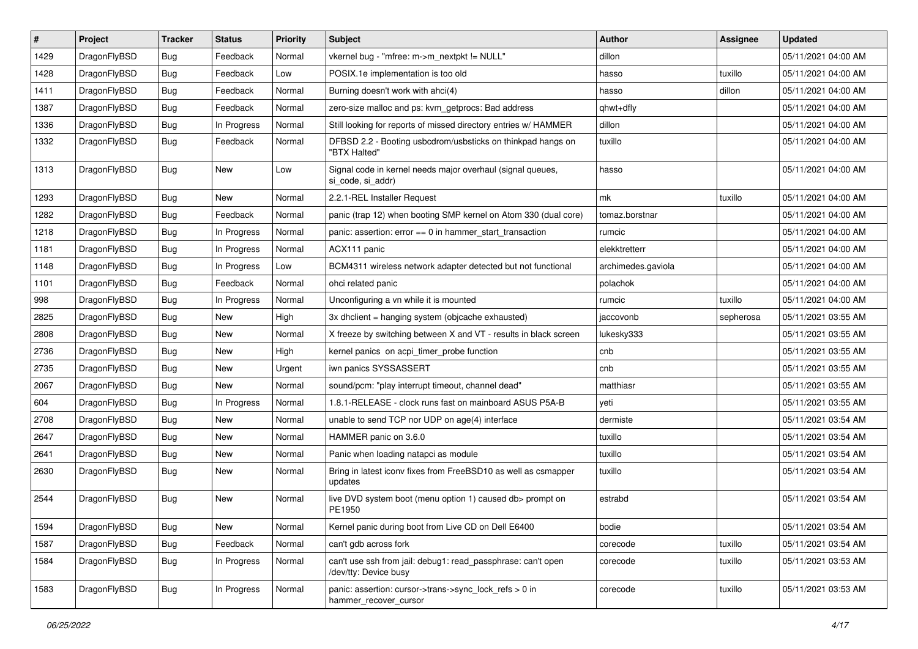| $\vert$ # | Project      | <b>Tracker</b> | <b>Status</b> | <b>Priority</b> | <b>Subject</b>                                                                        | <b>Author</b>      | <b>Assignee</b> | <b>Updated</b>      |
|-----------|--------------|----------------|---------------|-----------------|---------------------------------------------------------------------------------------|--------------------|-----------------|---------------------|
| 1429      | DragonFlyBSD | Bug            | Feedback      | Normal          | vkernel bug - "mfree: m->m_nextpkt != NULL"                                           | dillon             |                 | 05/11/2021 04:00 AM |
| 1428      | DragonFlyBSD | <b>Bug</b>     | Feedback      | Low             | POSIX.1e implementation is too old                                                    | hasso              | tuxillo         | 05/11/2021 04:00 AM |
| 1411      | DragonFlyBSD | <b>Bug</b>     | Feedback      | Normal          | Burning doesn't work with ahci(4)                                                     | hasso              | dillon          | 05/11/2021 04:00 AM |
| 1387      | DragonFlyBSD | Bug            | Feedback      | Normal          | zero-size malloc and ps: kvm_getprocs: Bad address                                    | qhwt+dfly          |                 | 05/11/2021 04:00 AM |
| 1336      | DragonFlyBSD | Bug            | In Progress   | Normal          | Still looking for reports of missed directory entries w/ HAMMER                       | dillon             |                 | 05/11/2021 04:00 AM |
| 1332      | DragonFlyBSD | <b>Bug</b>     | Feedback      | Normal          | DFBSD 2.2 - Booting usbcdrom/usbsticks on thinkpad hangs on<br>"BTX Halted"           | tuxillo            |                 | 05/11/2021 04:00 AM |
| 1313      | DragonFlyBSD | Bug            | New           | Low             | Signal code in kernel needs major overhaul (signal queues,<br>si_code, si_addr)       | hasso              |                 | 05/11/2021 04:00 AM |
| 1293      | DragonFlyBSD | Bug            | <b>New</b>    | Normal          | 2.2.1-REL Installer Request                                                           | mk                 | tuxillo         | 05/11/2021 04:00 AM |
| 1282      | DragonFlyBSD | Bug            | Feedback      | Normal          | panic (trap 12) when booting SMP kernel on Atom 330 (dual core)                       | tomaz.borstnar     |                 | 05/11/2021 04:00 AM |
| 1218      | DragonFlyBSD | Bug            | In Progress   | Normal          | panic: assertion: error == 0 in hammer_start_transaction                              | rumcic             |                 | 05/11/2021 04:00 AM |
| 1181      | DragonFlyBSD | Bug            | In Progress   | Normal          | ACX111 panic                                                                          | elekktretterr      |                 | 05/11/2021 04:00 AM |
| 1148      | DragonFlyBSD | Bug            | In Progress   | Low             | BCM4311 wireless network adapter detected but not functional                          | archimedes.gaviola |                 | 05/11/2021 04:00 AM |
| 1101      | DragonFlyBSD | Bug            | Feedback      | Normal          | ohci related panic                                                                    | polachok           |                 | 05/11/2021 04:00 AM |
| 998       | DragonFlyBSD | Bug            | In Progress   | Normal          | Unconfiguring a vn while it is mounted                                                | rumcic             | tuxillo         | 05/11/2021 04:00 AM |
| 2825      | DragonFlyBSD | <b>Bug</b>     | <b>New</b>    | High            | 3x dhclient = hanging system (objcache exhausted)                                     | jaccovonb          | sepherosa       | 05/11/2021 03:55 AM |
| 2808      | DragonFlyBSD | Bug            | <b>New</b>    | Normal          | X freeze by switching between X and VT - results in black screen                      | lukesky333         |                 | 05/11/2021 03:55 AM |
| 2736      | DragonFlyBSD | <b>Bug</b>     | New           | High            | kernel panics on acpi_timer_probe function                                            | cnb                |                 | 05/11/2021 03:55 AM |
| 2735      | DragonFlyBSD | Bug            | <b>New</b>    | Urgent          | iwn panics SYSSASSERT                                                                 | cnb                |                 | 05/11/2021 03:55 AM |
| 2067      | DragonFlyBSD | Bug            | <b>New</b>    | Normal          | sound/pcm: "play interrupt timeout, channel dead"                                     | matthiasr          |                 | 05/11/2021 03:55 AM |
| 604       | DragonFlyBSD | Bug            | In Progress   | Normal          | 1.8.1-RELEASE - clock runs fast on mainboard ASUS P5A-B                               | veti               |                 | 05/11/2021 03:55 AM |
| 2708      | DragonFlyBSD | Bug            | <b>New</b>    | Normal          | unable to send TCP nor UDP on age(4) interface                                        | dermiste           |                 | 05/11/2021 03:54 AM |
| 2647      | DragonFlyBSD | <b>Bug</b>     | <b>New</b>    | Normal          | HAMMER panic on 3.6.0                                                                 | tuxillo            |                 | 05/11/2021 03:54 AM |
| 2641      | DragonFlyBSD | Bug            | <b>New</b>    | Normal          | Panic when loading natapci as module                                                  | tuxillo            |                 | 05/11/2021 03:54 AM |
| 2630      | DragonFlyBSD | Bug            | New           | Normal          | Bring in latest iconv fixes from FreeBSD10 as well as csmapper<br>updates             | tuxillo            |                 | 05/11/2021 03:54 AM |
| 2544      | DragonFlyBSD | Bug            | <b>New</b>    | Normal          | live DVD system boot (menu option 1) caused db> prompt on<br>PE1950                   | estrabd            |                 | 05/11/2021 03:54 AM |
| 1594      | DragonFlyBSD | <b>Bug</b>     | New           | Normal          | Kernel panic during boot from Live CD on Dell E6400                                   | bodie              |                 | 05/11/2021 03:54 AM |
| 1587      | DragonFlyBSD | Bug            | Feedback      | Normal          | can't gdb across fork                                                                 | corecode           | tuxillo         | 05/11/2021 03:54 AM |
| 1584      | DragonFlyBSD | Bug            | In Progress   | Normal          | can't use ssh from jail: debug1: read_passphrase: can't open<br>/dev/tty: Device busy | corecode           | tuxillo         | 05/11/2021 03:53 AM |
| 1583      | DragonFlyBSD | <b>Bug</b>     | In Progress   | Normal          | panic: assertion: cursor->trans->sync_lock_refs > 0 in<br>hammer_recover_cursor       | corecode           | tuxillo         | 05/11/2021 03:53 AM |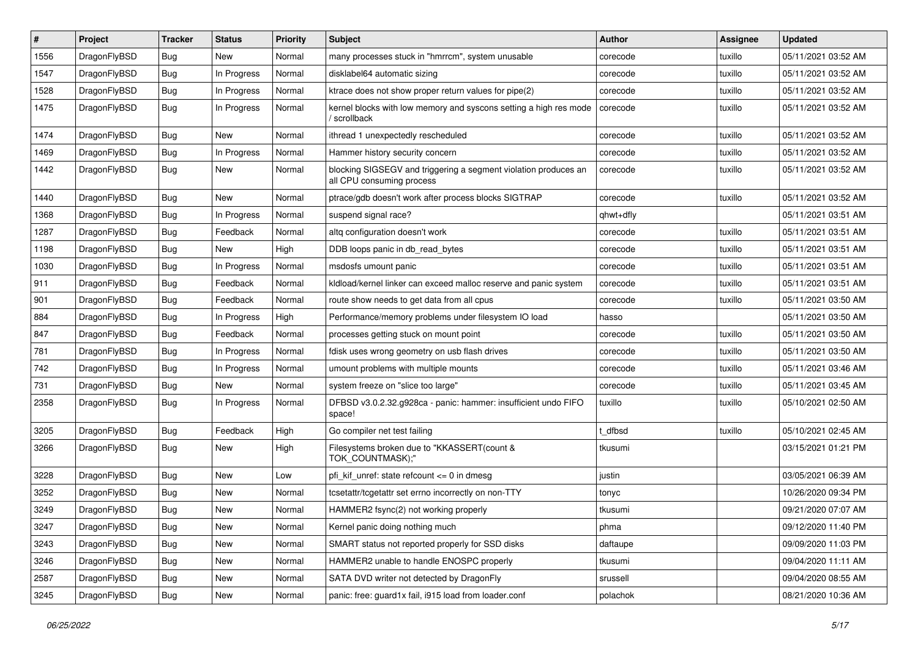| $\#$ | Project      | <b>Tracker</b> | <b>Status</b> | <b>Priority</b> | <b>Subject</b>                                                                               | <b>Author</b> | <b>Assignee</b> | <b>Updated</b>      |
|------|--------------|----------------|---------------|-----------------|----------------------------------------------------------------------------------------------|---------------|-----------------|---------------------|
| 1556 | DragonFlyBSD | Bug            | New           | Normal          | many processes stuck in "hmrrcm", system unusable                                            | corecode      | tuxillo         | 05/11/2021 03:52 AM |
| 1547 | DragonFlyBSD | <b>Bug</b>     | In Progress   | Normal          | disklabel64 automatic sizing                                                                 | corecode      | tuxillo         | 05/11/2021 03:52 AM |
| 1528 | DragonFlyBSD | <b>Bug</b>     | In Progress   | Normal          | ktrace does not show proper return values for pipe(2)                                        | corecode      | tuxillo         | 05/11/2021 03:52 AM |
| 1475 | DragonFlyBSD | Bug            | In Progress   | Normal          | kernel blocks with low memory and syscons setting a high res mode<br>/ scrollback            | corecode      | tuxillo         | 05/11/2021 03:52 AM |
| 1474 | DragonFlyBSD | Bug            | New           | Normal          | ithread 1 unexpectedly rescheduled                                                           | corecode      | tuxillo         | 05/11/2021 03:52 AM |
| 1469 | DragonFlyBSD | Bug            | In Progress   | Normal          | Hammer history security concern                                                              | corecode      | tuxillo         | 05/11/2021 03:52 AM |
| 1442 | DragonFlyBSD | Bug            | New           | Normal          | blocking SIGSEGV and triggering a segment violation produces an<br>all CPU consuming process | corecode      | tuxillo         | 05/11/2021 03:52 AM |
| 1440 | DragonFlyBSD | <b>Bug</b>     | New           | Normal          | ptrace/gdb doesn't work after process blocks SIGTRAP                                         | corecode      | tuxillo         | 05/11/2021 03:52 AM |
| 1368 | DragonFlyBSD | Bug            | In Progress   | Normal          | suspend signal race?                                                                         | qhwt+dfly     |                 | 05/11/2021 03:51 AM |
| 1287 | DragonFlyBSD | <b>Bug</b>     | Feedback      | Normal          | altq configuration doesn't work                                                              | corecode      | tuxillo         | 05/11/2021 03:51 AM |
| 1198 | DragonFlyBSD | Bug            | New           | High            | DDB loops panic in db_read_bytes                                                             | corecode      | tuxillo         | 05/11/2021 03:51 AM |
| 1030 | DragonFlyBSD | <b>Bug</b>     | In Progress   | Normal          | msdosfs umount panic                                                                         | corecode      | tuxillo         | 05/11/2021 03:51 AM |
| 911  | DragonFlyBSD | Bug            | Feedback      | Normal          | kldload/kernel linker can exceed malloc reserve and panic system                             | corecode      | tuxillo         | 05/11/2021 03:51 AM |
| 901  | DragonFlyBSD | Bug            | Feedback      | Normal          | route show needs to get data from all cpus                                                   | corecode      | tuxillo         | 05/11/2021 03:50 AM |
| 884  | DragonFlyBSD | Bug            | In Progress   | High            | Performance/memory problems under filesystem IO load                                         | hasso         |                 | 05/11/2021 03:50 AM |
| 847  | DragonFlyBSD | Bug            | Feedback      | Normal          | processes getting stuck on mount point                                                       | corecode      | tuxillo         | 05/11/2021 03:50 AM |
| 781  | DragonFlyBSD | Bug            | In Progress   | Normal          | fdisk uses wrong geometry on usb flash drives                                                | corecode      | tuxillo         | 05/11/2021 03:50 AM |
| 742  | DragonFlyBSD | <b>Bug</b>     | In Progress   | Normal          | umount problems with multiple mounts                                                         | corecode      | tuxillo         | 05/11/2021 03:46 AM |
| 731  | DragonFlyBSD | Bug            | New           | Normal          | system freeze on "slice too large"                                                           | corecode      | tuxillo         | 05/11/2021 03:45 AM |
| 2358 | DragonFlyBSD | Bug            | In Progress   | Normal          | DFBSD v3.0.2.32.g928ca - panic: hammer: insufficient undo FIFO<br>space!                     | tuxillo       | tuxillo         | 05/10/2021 02:50 AM |
| 3205 | DragonFlyBSD | Bug            | Feedback      | High            | Go compiler net test failing                                                                 | t dfbsd       | tuxillo         | 05/10/2021 02:45 AM |
| 3266 | DragonFlyBSD | Bug            | New           | High            | Filesystems broken due to "KKASSERT(count &<br>TOK_COUNTMASK);"                              | tkusumi       |                 | 03/15/2021 01:21 PM |
| 3228 | DragonFlyBSD | <b>Bug</b>     | New           | Low             | pfi kif unref: state refcount $\leq$ 0 in dmesg                                              | justin        |                 | 03/05/2021 06:39 AM |
| 3252 | DragonFlyBSD | Bug            | <b>New</b>    | Normal          | tcsetattr/tcgetattr set errno incorrectly on non-TTY                                         | tonyc         |                 | 10/26/2020 09:34 PM |
| 3249 | DragonFlyBSD | <b>Bug</b>     | New           | Normal          | HAMMER2 fsync(2) not working properly                                                        | tkusumi       |                 | 09/21/2020 07:07 AM |
| 3247 | DragonFlyBSD | Bug            | New           | Normal          | Kernel panic doing nothing much                                                              | phma          |                 | 09/12/2020 11:40 PM |
| 3243 | DragonFlyBSD | Bug            | New           | Normal          | SMART status not reported properly for SSD disks                                             | daftaupe      |                 | 09/09/2020 11:03 PM |
| 3246 | DragonFlyBSD | <b>Bug</b>     | New           | Normal          | HAMMER2 unable to handle ENOSPC properly                                                     | tkusumi       |                 | 09/04/2020 11:11 AM |
| 2587 | DragonFlyBSD | <b>Bug</b>     | New           | Normal          | SATA DVD writer not detected by DragonFly                                                    | srussell      |                 | 09/04/2020 08:55 AM |
| 3245 | DragonFlyBSD | <b>Bug</b>     | New           | Normal          | panic: free: guard1x fail, i915 load from loader.conf                                        | polachok      |                 | 08/21/2020 10:36 AM |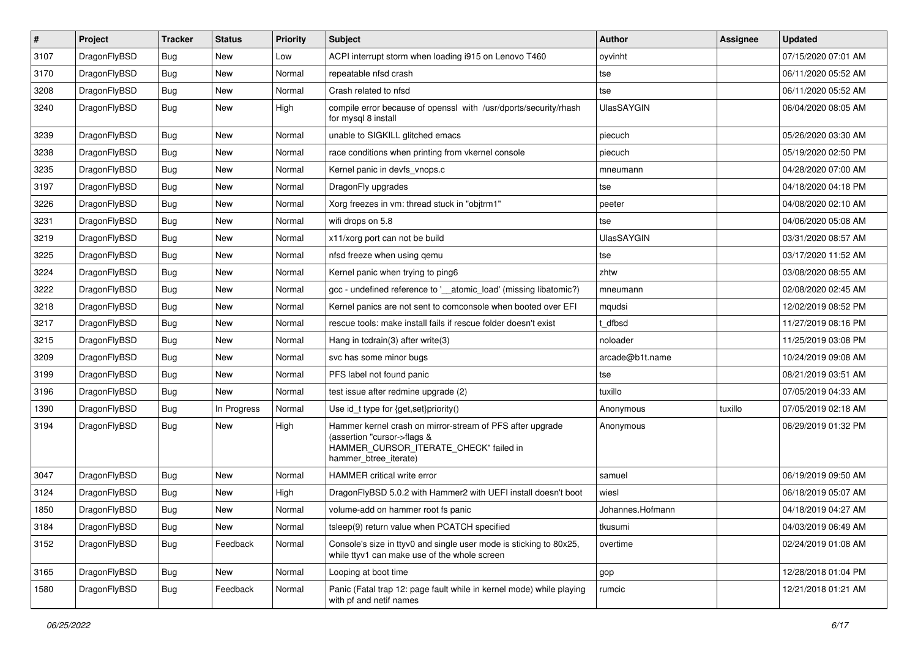| $\vert$ # | Project      | <b>Tracker</b> | <b>Status</b> | <b>Priority</b> | <b>Subject</b>                                                                                                                                              | Author            | <b>Assignee</b> | <b>Updated</b>      |
|-----------|--------------|----------------|---------------|-----------------|-------------------------------------------------------------------------------------------------------------------------------------------------------------|-------------------|-----------------|---------------------|
| 3107      | DragonFlyBSD | Bug            | New           | Low             | ACPI interrupt storm when loading i915 on Lenovo T460                                                                                                       | oyvinht           |                 | 07/15/2020 07:01 AM |
| 3170      | DragonFlyBSD | <b>Bug</b>     | <b>New</b>    | Normal          | repeatable nfsd crash                                                                                                                                       | tse               |                 | 06/11/2020 05:52 AM |
| 3208      | DragonFlyBSD | <b>Bug</b>     | <b>New</b>    | Normal          | Crash related to nfsd                                                                                                                                       | tse               |                 | 06/11/2020 05:52 AM |
| 3240      | DragonFlyBSD | Bug            | New           | High            | compile error because of openssl with /usr/dports/security/rhash<br>for mysql 8 install                                                                     | <b>UlasSAYGIN</b> |                 | 06/04/2020 08:05 AM |
| 3239      | DragonFlyBSD | Bug            | <b>New</b>    | Normal          | unable to SIGKILL glitched emacs                                                                                                                            | piecuch           |                 | 05/26/2020 03:30 AM |
| 3238      | DragonFlyBSD | Bug            | <b>New</b>    | Normal          | race conditions when printing from vkernel console                                                                                                          | piecuch           |                 | 05/19/2020 02:50 PM |
| 3235      | DragonFlyBSD | Bug            | New           | Normal          | Kernel panic in devfs vnops.c                                                                                                                               | mneumann          |                 | 04/28/2020 07:00 AM |
| 3197      | DragonFlyBSD | <b>Bug</b>     | <b>New</b>    | Normal          | DragonFly upgrades                                                                                                                                          | tse               |                 | 04/18/2020 04:18 PM |
| 3226      | DragonFlyBSD | <b>Bug</b>     | <b>New</b>    | Normal          | Xorg freezes in vm: thread stuck in "objtrm1"                                                                                                               | peeter            |                 | 04/08/2020 02:10 AM |
| 3231      | DragonFlyBSD | <b>Bug</b>     | <b>New</b>    | Normal          | wifi drops on 5.8                                                                                                                                           | tse               |                 | 04/06/2020 05:08 AM |
| 3219      | DragonFlyBSD | Bug            | <b>New</b>    | Normal          | x11/xorg port can not be build                                                                                                                              | <b>UlasSAYGIN</b> |                 | 03/31/2020 08:57 AM |
| 3225      | DragonFlyBSD | Bug            | New           | Normal          | nfsd freeze when using gemu                                                                                                                                 | tse               |                 | 03/17/2020 11:52 AM |
| 3224      | DragonFlyBSD | <b>Bug</b>     | New           | Normal          | Kernel panic when trying to ping6                                                                                                                           | zhtw              |                 | 03/08/2020 08:55 AM |
| 3222      | DragonFlyBSD | <b>Bug</b>     | <b>New</b>    | Normal          | gcc - undefined reference to '__atomic_load' (missing libatomic?)                                                                                           | mneumann          |                 | 02/08/2020 02:45 AM |
| 3218      | DragonFlyBSD | Bug            | New           | Normal          | Kernel panics are not sent to comconsole when booted over EFI                                                                                               | mqudsi            |                 | 12/02/2019 08:52 PM |
| 3217      | DragonFlyBSD | Bug            | New           | Normal          | rescue tools: make install fails if rescue folder doesn't exist                                                                                             | t dfbsd           |                 | 11/27/2019 08:16 PM |
| 3215      | DragonFlyBSD | <b>Bug</b>     | <b>New</b>    | Normal          | Hang in tcdrain(3) after write(3)                                                                                                                           | noloader          |                 | 11/25/2019 03:08 PM |
| 3209      | DragonFlyBSD | Bug            | New           | Normal          | svc has some minor bugs                                                                                                                                     | arcade@b1t.name   |                 | 10/24/2019 09:08 AM |
| 3199      | DragonFlyBSD | Bug            | <b>New</b>    | Normal          | PFS label not found panic                                                                                                                                   | tse               |                 | 08/21/2019 03:51 AM |
| 3196      | DragonFlyBSD | Bug            | New           | Normal          | test issue after redmine upgrade (2)                                                                                                                        | tuxillo           |                 | 07/05/2019 04:33 AM |
| 1390      | DragonFlyBSD | <b>Bug</b>     | In Progress   | Normal          | Use id_t type for {get,set}priority()                                                                                                                       | Anonymous         | tuxillo         | 07/05/2019 02:18 AM |
| 3194      | DragonFlyBSD | <b>Bug</b>     | New           | High            | Hammer kernel crash on mirror-stream of PFS after upgrade<br>(assertion "cursor->flags &<br>HAMMER_CURSOR_ITERATE_CHECK" failed in<br>hammer_btree_iterate) | Anonymous         |                 | 06/29/2019 01:32 PM |
| 3047      | DragonFlyBSD | <b>Bug</b>     | <b>New</b>    | Normal          | HAMMER critical write error                                                                                                                                 | samuel            |                 | 06/19/2019 09:50 AM |
| 3124      | DragonFlyBSD | Bug            | New           | High            | DragonFlyBSD 5.0.2 with Hammer2 with UEFI install doesn't boot                                                                                              | wiesl             |                 | 06/18/2019 05:07 AM |
| 1850      | DragonFlyBSD | <b>Bug</b>     | New           | Normal          | volume-add on hammer root fs panic                                                                                                                          | Johannes.Hofmann  |                 | 04/18/2019 04:27 AM |
| 3184      | DragonFlyBSD | Bug            | New           | Normal          | tsleep(9) return value when PCATCH specified                                                                                                                | tkusumi           |                 | 04/03/2019 06:49 AM |
| 3152      | DragonFlyBSD | <b>Bug</b>     | Feedback      | Normal          | Console's size in ttyv0 and single user mode is sticking to 80x25,<br>while ttyv1 can make use of the whole screen                                          | overtime          |                 | 02/24/2019 01:08 AM |
| 3165      | DragonFlyBSD | Bug            | New           | Normal          | Looping at boot time                                                                                                                                        | gop               |                 | 12/28/2018 01:04 PM |
| 1580      | DragonFlyBSD | <b>Bug</b>     | Feedback      | Normal          | Panic (Fatal trap 12: page fault while in kernel mode) while playing<br>with pf and netif names                                                             | rumcic            |                 | 12/21/2018 01:21 AM |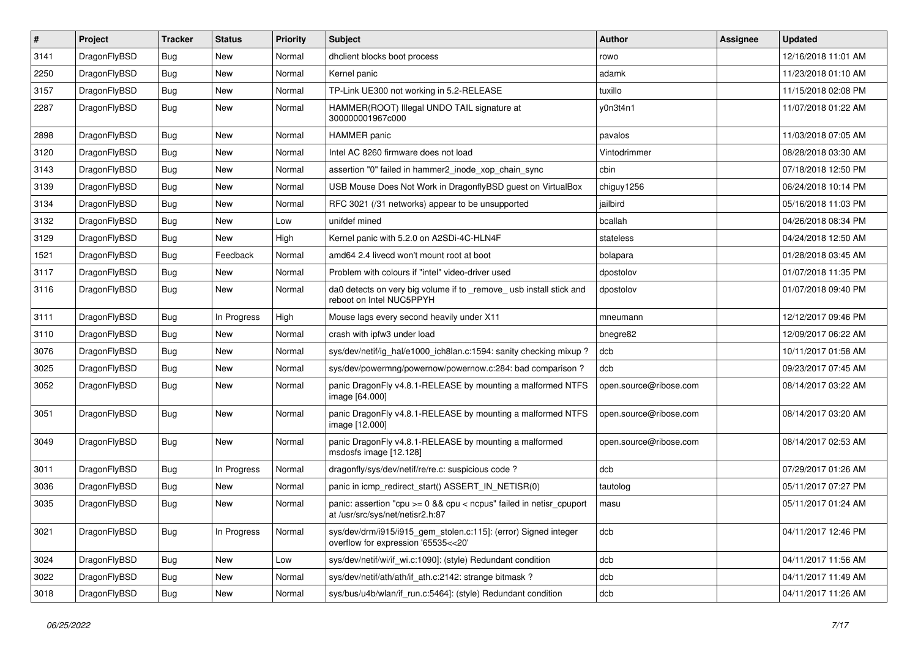| #    | Project      | <b>Tracker</b> | <b>Status</b> | <b>Priority</b> | Subject                                                                                                 | Author                 | <b>Assignee</b> | <b>Updated</b>      |
|------|--------------|----------------|---------------|-----------------|---------------------------------------------------------------------------------------------------------|------------------------|-----------------|---------------------|
| 3141 | DragonFlyBSD | <b>Bug</b>     | <b>New</b>    | Normal          | dhclient blocks boot process                                                                            | rowo                   |                 | 12/16/2018 11:01 AM |
| 2250 | DragonFlyBSD | <b>Bug</b>     | <b>New</b>    | Normal          | Kernel panic                                                                                            | adamk                  |                 | 11/23/2018 01:10 AM |
| 3157 | DragonFlyBSD | <b>Bug</b>     | New           | Normal          | TP-Link UE300 not working in 5.2-RELEASE                                                                | tuxillo                |                 | 11/15/2018 02:08 PM |
| 2287 | DragonFlyBSD | Bug            | New           | Normal          | HAMMER(ROOT) Illegal UNDO TAIL signature at<br>300000001967c000                                         | y0n3t4n1               |                 | 11/07/2018 01:22 AM |
| 2898 | DragonFlyBSD | Bug            | <b>New</b>    | Normal          | <b>HAMMER</b> panic                                                                                     | pavalos                |                 | 11/03/2018 07:05 AM |
| 3120 | DragonFlyBSD | <b>Bug</b>     | <b>New</b>    | Normal          | Intel AC 8260 firmware does not load                                                                    | Vintodrimmer           |                 | 08/28/2018 03:30 AM |
| 3143 | DragonFlyBSD | Bug            | New           | Normal          | assertion "0" failed in hammer2 inode xop chain sync                                                    | cbin                   |                 | 07/18/2018 12:50 PM |
| 3139 | DragonFlyBSD | <b>Bug</b>     | New           | Normal          | USB Mouse Does Not Work in DragonflyBSD guest on VirtualBox                                             | chiguy1256             |                 | 06/24/2018 10:14 PM |
| 3134 | DragonFlyBSD | Bug            | <b>New</b>    | Normal          | RFC 3021 (/31 networks) appear to be unsupported                                                        | jailbird               |                 | 05/16/2018 11:03 PM |
| 3132 | DragonFlyBSD | <b>Bug</b>     | New           | Low             | unifdef mined                                                                                           | bcallah                |                 | 04/26/2018 08:34 PM |
| 3129 | DragonFlyBSD | Bug            | <b>New</b>    | High            | Kernel panic with 5.2.0 on A2SDi-4C-HLN4F                                                               | stateless              |                 | 04/24/2018 12:50 AM |
| 1521 | DragonFlyBSD | Bug            | Feedback      | Normal          | amd64 2.4 livecd won't mount root at boot                                                               | bolapara               |                 | 01/28/2018 03:45 AM |
| 3117 | DragonFlyBSD | <b>Bug</b>     | <b>New</b>    | Normal          | Problem with colours if "intel" video-driver used                                                       | dpostolov              |                 | 01/07/2018 11:35 PM |
| 3116 | DragonFlyBSD | Bug            | New           | Normal          | da0 detects on very big volume if to _remove_ usb install stick and<br>reboot on Intel NUC5PPYH         | dpostolov              |                 | 01/07/2018 09:40 PM |
| 3111 | DragonFlyBSD | Bug            | In Progress   | High            | Mouse lags every second heavily under X11                                                               | mneumann               |                 | 12/12/2017 09:46 PM |
| 3110 | DragonFlyBSD | Bug            | <b>New</b>    | Normal          | crash with ipfw3 under load                                                                             | bnegre82               |                 | 12/09/2017 06:22 AM |
| 3076 | DragonFlyBSD | <b>Bug</b>     | New           | Normal          | sys/dev/netif/ig_hal/e1000_ich8lan.c:1594: sanity checking mixup?                                       | dcb                    |                 | 10/11/2017 01:58 AM |
| 3025 | DragonFlyBSD | Bug            | <b>New</b>    | Normal          | sys/dev/powermng/powernow/powernow.c:284: bad comparison?                                               | dcb                    |                 | 09/23/2017 07:45 AM |
| 3052 | DragonFlyBSD | Bug            | New           | Normal          | panic DragonFly v4.8.1-RELEASE by mounting a malformed NTFS<br>image [64.000]                           | open.source@ribose.com |                 | 08/14/2017 03:22 AM |
| 3051 | DragonFlyBSD | Bug            | <b>New</b>    | Normal          | panic DragonFly v4.8.1-RELEASE by mounting a malformed NTFS<br>image [12.000]                           | open.source@ribose.com |                 | 08/14/2017 03:20 AM |
| 3049 | DragonFlyBSD | Bug            | <b>New</b>    | Normal          | panic DragonFly v4.8.1-RELEASE by mounting a malformed<br>msdosfs image [12.128]                        | open.source@ribose.com |                 | 08/14/2017 02:53 AM |
| 3011 | DragonFlyBSD | <b>Bug</b>     | In Progress   | Normal          | dragonfly/sys/dev/netif/re/re.c: suspicious code?                                                       | dcb                    |                 | 07/29/2017 01:26 AM |
| 3036 | DragonFlyBSD | Bug            | <b>New</b>    | Normal          | panic in icmp_redirect_start() ASSERT_IN_NETISR(0)                                                      | tautolog               |                 | 05/11/2017 07:27 PM |
| 3035 | DragonFlyBSD | Bug            | New           | Normal          | panic: assertion "cpu >= 0 && cpu < ncpus" failed in netisr_cpuport<br>at /usr/src/sys/net/netisr2.h:87 | masu                   |                 | 05/11/2017 01:24 AM |
| 3021 | DragonFlyBSD | Bug            | In Progress   | Normal          | sys/dev/drm/i915/i915_gem_stolen.c:115]: (error) Signed integer<br>overflow for expression '65535<<20'  | dcb                    |                 | 04/11/2017 12:46 PM |
| 3024 | DragonFlyBSD | <b>Bug</b>     | New           | Low             | sys/dev/netif/wi/if_wi.c:1090]: (style) Redundant condition                                             | dcb                    |                 | 04/11/2017 11:56 AM |
| 3022 | DragonFlyBSD | Bug            | New           | Normal          | sys/dev/netif/ath/ath/if_ath.c:2142: strange bitmask?                                                   | dcb                    |                 | 04/11/2017 11:49 AM |
| 3018 | DragonFlyBSD | <b>Bug</b>     | New           | Normal          | sys/bus/u4b/wlan/if_run.c:5464]: (style) Redundant condition                                            | dcb                    |                 | 04/11/2017 11:26 AM |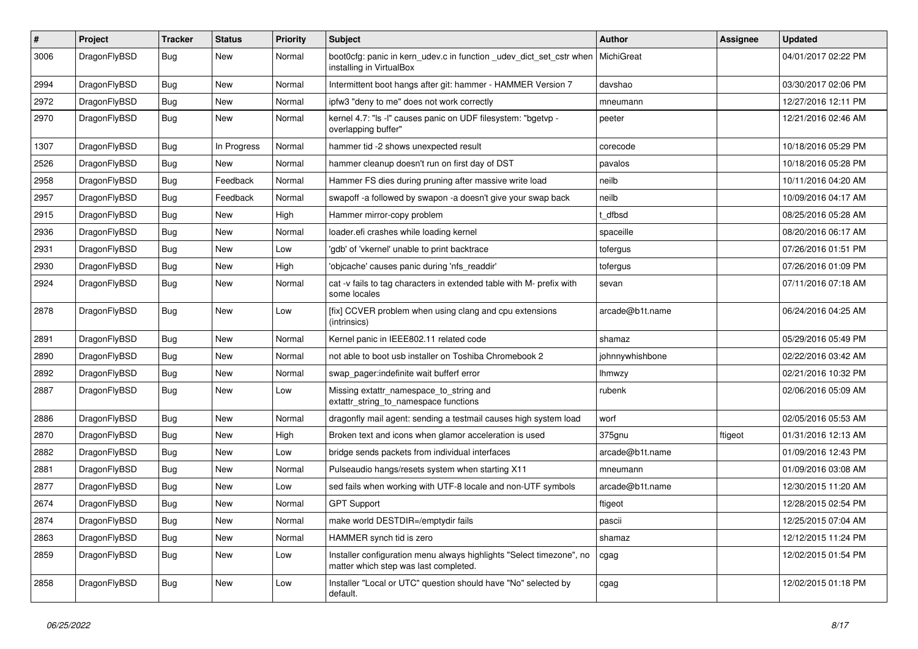| $\#$ | Project      | <b>Tracker</b> | <b>Status</b> | <b>Priority</b> | Subject                                                                                                       | <b>Author</b>   | Assignee | <b>Updated</b>      |
|------|--------------|----------------|---------------|-----------------|---------------------------------------------------------------------------------------------------------------|-----------------|----------|---------------------|
| 3006 | DragonFlyBSD | Bug            | New           | Normal          | boot0cfg: panic in kern_udev.c in function _udev_dict_set_cstr when<br>installing in VirtualBox               | MichiGreat      |          | 04/01/2017 02:22 PM |
| 2994 | DragonFlyBSD | Bug            | New           | Normal          | Intermittent boot hangs after git: hammer - HAMMER Version 7                                                  | davshao         |          | 03/30/2017 02:06 PM |
| 2972 | DragonFlyBSD | <b>Bug</b>     | New           | Normal          | ipfw3 "deny to me" does not work correctly                                                                    | mneumann        |          | 12/27/2016 12:11 PM |
| 2970 | DragonFlyBSD | Bug            | New           | Normal          | kernel 4.7: "Is -I" causes panic on UDF filesystem: "bgetvp -<br>overlapping buffer"                          | peeter          |          | 12/21/2016 02:46 AM |
| 1307 | DragonFlyBSD | <b>Bug</b>     | In Progress   | Normal          | hammer tid -2 shows unexpected result                                                                         | corecode        |          | 10/18/2016 05:29 PM |
| 2526 | DragonFlyBSD | Bug            | <b>New</b>    | Normal          | hammer cleanup doesn't run on first day of DST                                                                | pavalos         |          | 10/18/2016 05:28 PM |
| 2958 | DragonFlyBSD | Bug            | Feedback      | Normal          | Hammer FS dies during pruning after massive write load                                                        | neilb           |          | 10/11/2016 04:20 AM |
| 2957 | DragonFlyBSD | Bug            | Feedback      | Normal          | swapoff -a followed by swapon -a doesn't give your swap back                                                  | neilb           |          | 10/09/2016 04:17 AM |
| 2915 | DragonFlyBSD | Bug            | New           | High            | Hammer mirror-copy problem                                                                                    | : dfbsd         |          | 08/25/2016 05:28 AM |
| 2936 | DragonFlyBSD | Bug            | New           | Normal          | loader.efi crashes while loading kernel                                                                       | spaceille       |          | 08/20/2016 06:17 AM |
| 2931 | DragonFlyBSD | Bug            | New           | Low             | 'gdb' of 'vkernel' unable to print backtrace                                                                  | tofergus        |          | 07/26/2016 01:51 PM |
| 2930 | DragonFlyBSD | Bug            | New           | High            | 'objcache' causes panic during 'nfs_readdir'                                                                  | tofergus        |          | 07/26/2016 01:09 PM |
| 2924 | DragonFlyBSD | <b>Bug</b>     | New           | Normal          | cat -v fails to tag characters in extended table with M- prefix with<br>some locales                          | sevan           |          | 07/11/2016 07:18 AM |
| 2878 | DragonFlyBSD | Bug            | New           | Low             | [fix] CCVER problem when using clang and cpu extensions<br>(intrinsics)                                       | arcade@b1t.name |          | 06/24/2016 04:25 AM |
| 2891 | DragonFlyBSD | Bug            | <b>New</b>    | Normal          | Kernel panic in IEEE802.11 related code                                                                       | shamaz          |          | 05/29/2016 05:49 PM |
| 2890 | DragonFlyBSD | Bug            | New           | Normal          | not able to boot usb installer on Toshiba Chromebook 2                                                        | johnnywhishbone |          | 02/22/2016 03:42 AM |
| 2892 | DragonFlyBSD | Bug            | New           | Normal          | swap pager:indefinite wait bufferf error                                                                      | lhmwzy          |          | 02/21/2016 10:32 PM |
| 2887 | DragonFlyBSD | Bug            | New           | Low             | Missing extattr_namespace_to_string and<br>extattr_string_to_namespace functions                              | rubenk          |          | 02/06/2016 05:09 AM |
| 2886 | DragonFlyBSD | Bug            | <b>New</b>    | Normal          | dragonfly mail agent: sending a testmail causes high system load                                              | worf            |          | 02/05/2016 05:53 AM |
| 2870 | DragonFlyBSD | Bug            | New           | High            | Broken text and icons when glamor acceleration is used                                                        | 375gnu          | ftigeot  | 01/31/2016 12:13 AM |
| 2882 | DragonFlyBSD | Bug            | <b>New</b>    | Low             | bridge sends packets from individual interfaces                                                               | arcade@b1t.name |          | 01/09/2016 12:43 PM |
| 2881 | DragonFlyBSD | Bug            | New           | Normal          | Pulseaudio hangs/resets system when starting X11                                                              | mneumann        |          | 01/09/2016 03:08 AM |
| 2877 | DragonFlyBSD | Bug            | New           | Low             | sed fails when working with UTF-8 locale and non-UTF symbols                                                  | arcade@b1t.name |          | 12/30/2015 11:20 AM |
| 2674 | DragonFlyBSD | Bug            | <b>New</b>    | Normal          | <b>GPT Support</b>                                                                                            | ftigeot         |          | 12/28/2015 02:54 PM |
| 2874 | DragonFlyBSD | <b>Bug</b>     | New           | Normal          | make world DESTDIR=/emptydir fails                                                                            | pascii          |          | 12/25/2015 07:04 AM |
| 2863 | DragonFlyBSD | <b>Bug</b>     | New           | Normal          | HAMMER synch tid is zero                                                                                      | shamaz          |          | 12/12/2015 11:24 PM |
| 2859 | DragonFlyBSD | <b>Bug</b>     | New           | Low             | Installer configuration menu always highlights "Select timezone", no<br>matter which step was last completed. | cgag            |          | 12/02/2015 01:54 PM |
| 2858 | DragonFlyBSD | <b>Bug</b>     | New           | Low             | Installer "Local or UTC" question should have "No" selected by<br>default.                                    | cgag            |          | 12/02/2015 01:18 PM |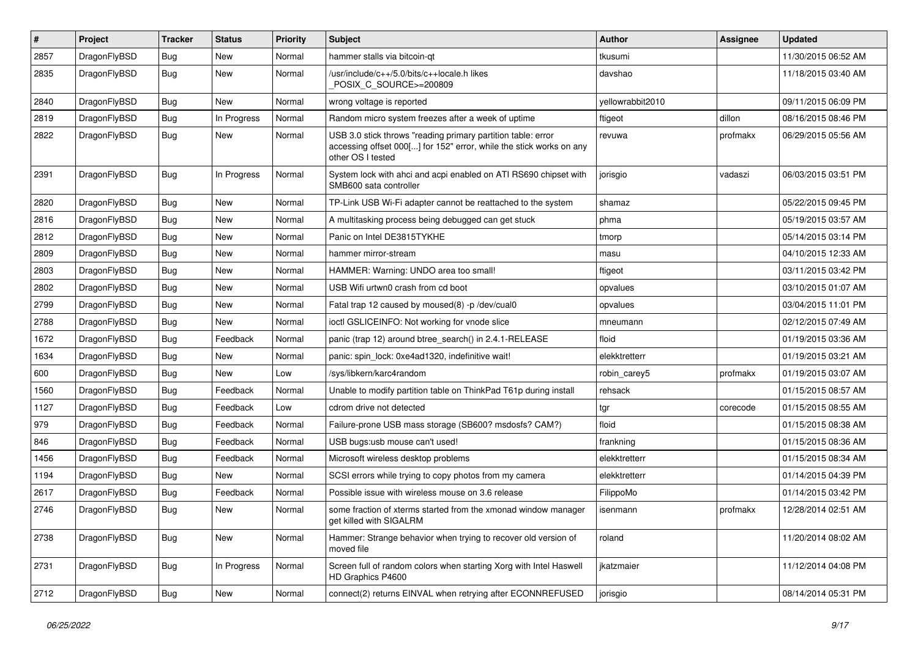| $\pmb{\#}$ | Project      | <b>Tracker</b> | <b>Status</b> | <b>Priority</b> | Subject                                                                                                                                                  | <b>Author</b>    | <b>Assignee</b> | <b>Updated</b>      |
|------------|--------------|----------------|---------------|-----------------|----------------------------------------------------------------------------------------------------------------------------------------------------------|------------------|-----------------|---------------------|
| 2857       | DragonFlyBSD | Bug            | <b>New</b>    | Normal          | hammer stalls via bitcoin-qt                                                                                                                             | tkusumi          |                 | 11/30/2015 06:52 AM |
| 2835       | DragonFlyBSD | Bug            | New           | Normal          | /usr/include/c++/5.0/bits/c++locale.h likes<br>POSIX C SOURCE>=200809                                                                                    | davshao          |                 | 11/18/2015 03:40 AM |
| 2840       | DragonFlyBSD | Bug            | <b>New</b>    | Normal          | wrong voltage is reported                                                                                                                                | yellowrabbit2010 |                 | 09/11/2015 06:09 PM |
| 2819       | DragonFlyBSD | Bug            | In Progress   | Normal          | Random micro system freezes after a week of uptime                                                                                                       | ftigeot          | dillon          | 08/16/2015 08:46 PM |
| 2822       | DragonFlyBSD | Bug            | New           | Normal          | USB 3.0 stick throws "reading primary partition table: error<br>accessing offset 000[] for 152" error, while the stick works on any<br>other OS I tested | revuwa           | profmakx        | 06/29/2015 05:56 AM |
| 2391       | DragonFlyBSD | Bug            | In Progress   | Normal          | System lock with ahci and acpi enabled on ATI RS690 chipset with<br>SMB600 sata controller                                                               | jorisgio         | vadaszi         | 06/03/2015 03:51 PM |
| 2820       | DragonFlyBSD | Bug            | <b>New</b>    | Normal          | TP-Link USB Wi-Fi adapter cannot be reattached to the system                                                                                             | shamaz           |                 | 05/22/2015 09:45 PM |
| 2816       | DragonFlyBSD | Bug            | <b>New</b>    | Normal          | A multitasking process being debugged can get stuck                                                                                                      | phma             |                 | 05/19/2015 03:57 AM |
| 2812       | DragonFlyBSD | Bug            | <b>New</b>    | Normal          | Panic on Intel DE3815TYKHE                                                                                                                               | tmorp            |                 | 05/14/2015 03:14 PM |
| 2809       | DragonFlyBSD | Bug            | <b>New</b>    | Normal          | hammer mirror-stream                                                                                                                                     | masu             |                 | 04/10/2015 12:33 AM |
| 2803       | DragonFlyBSD | Bug            | <b>New</b>    | Normal          | HAMMER: Warning: UNDO area too small!                                                                                                                    | ftigeot          |                 | 03/11/2015 03:42 PM |
| 2802       | DragonFlyBSD | Bug            | <b>New</b>    | Normal          | USB Wifi urtwn0 crash from cd boot                                                                                                                       | opvalues         |                 | 03/10/2015 01:07 AM |
| 2799       | DragonFlyBSD | Bug            | <b>New</b>    | Normal          | Fatal trap 12 caused by moused(8) -p /dev/cual0                                                                                                          | opvalues         |                 | 03/04/2015 11:01 PM |
| 2788       | DragonFlyBSD | Bug            | <b>New</b>    | Normal          | ioctl GSLICEINFO: Not working for vnode slice                                                                                                            | mneumann         |                 | 02/12/2015 07:49 AM |
| 1672       | DragonFlyBSD | Bug            | Feedback      | Normal          | panic (trap 12) around btree search() in 2.4.1-RELEASE                                                                                                   | floid            |                 | 01/19/2015 03:36 AM |
| 1634       | DragonFlyBSD | Bug            | <b>New</b>    | Normal          | panic: spin lock: 0xe4ad1320, indefinitive wait!                                                                                                         | elekktretterr    |                 | 01/19/2015 03:21 AM |
| 600        | DragonFlyBSD | Bug            | New           | Low             | /sys/libkern/karc4random                                                                                                                                 | robin carey5     | profmakx        | 01/19/2015 03:07 AM |
| 1560       | DragonFlyBSD | Bug            | Feedback      | Normal          | Unable to modify partition table on ThinkPad T61p during install                                                                                         | rehsack          |                 | 01/15/2015 08:57 AM |
| 1127       | DragonFlyBSD | Bug            | Feedback      | Low             | cdrom drive not detected                                                                                                                                 | tgr              | corecode        | 01/15/2015 08:55 AM |
| 979        | DragonFlyBSD | Bug            | Feedback      | Normal          | Failure-prone USB mass storage (SB600? msdosfs? CAM?)                                                                                                    | floid            |                 | 01/15/2015 08:38 AM |
| 846        | DragonFlyBSD | <b>Bug</b>     | Feedback      | Normal          | USB bugs:usb mouse can't used!                                                                                                                           | frankning        |                 | 01/15/2015 08:36 AM |
| 1456       | DragonFlyBSD | Bug            | Feedback      | Normal          | Microsoft wireless desktop problems                                                                                                                      | elekktretterr    |                 | 01/15/2015 08:34 AM |
| 1194       | DragonFlyBSD | Bug            | New           | Normal          | SCSI errors while trying to copy photos from my camera                                                                                                   | elekktretterr    |                 | 01/14/2015 04:39 PM |
| 2617       | DragonFlyBSD | Bug            | Feedback      | Normal          | Possible issue with wireless mouse on 3.6 release                                                                                                        | FilippoMo        |                 | 01/14/2015 03:42 PM |
| 2746       | DragonFlyBSD | Bug            | New           | Normal          | some fraction of xterms started from the xmonad window manager<br>get killed with SIGALRM                                                                | isenmann         | profmakx        | 12/28/2014 02:51 AM |
| 2738       | DragonFlyBSD | <b>Bug</b>     | New           | Normal          | Hammer: Strange behavior when trying to recover old version of<br>moved file                                                                             | roland           |                 | 11/20/2014 08:02 AM |
| 2731       | DragonFlyBSD | <b>Bug</b>     | In Progress   | Normal          | Screen full of random colors when starting Xorg with Intel Haswell<br>HD Graphics P4600                                                                  | jkatzmaier       |                 | 11/12/2014 04:08 PM |
| 2712       | DragonFlyBSD | <b>Bug</b>     | New           | Normal          | connect(2) returns EINVAL when retrying after ECONNREFUSED                                                                                               | jorisgio         |                 | 08/14/2014 05:31 PM |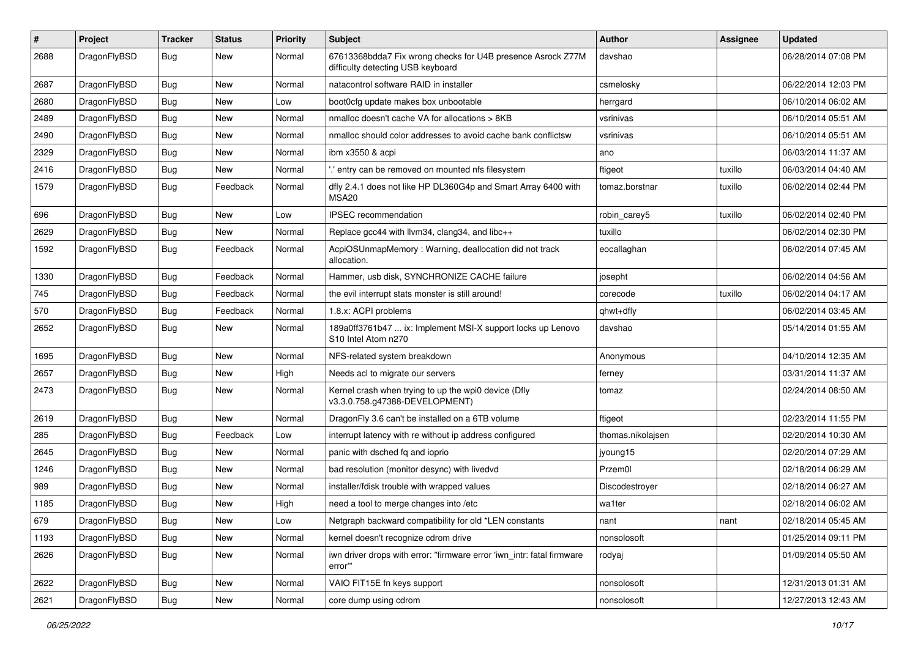| #    | Project      | <b>Tracker</b> | <b>Status</b> | <b>Priority</b> | Subject                                                                                          | <b>Author</b>     | Assignee | <b>Updated</b>      |
|------|--------------|----------------|---------------|-----------------|--------------------------------------------------------------------------------------------------|-------------------|----------|---------------------|
| 2688 | DragonFlyBSD | Bug            | New           | Normal          | 67613368bdda7 Fix wrong checks for U4B presence Asrock Z77M<br>difficulty detecting USB keyboard | davshao           |          | 06/28/2014 07:08 PM |
| 2687 | DragonFlyBSD | Bug            | <b>New</b>    | Normal          | natacontrol software RAID in installer                                                           | csmelosky         |          | 06/22/2014 12:03 PM |
| 2680 | DragonFlyBSD | Bug            | New           | Low             | boot0cfg update makes box unbootable                                                             | herrgard          |          | 06/10/2014 06:02 AM |
| 2489 | DragonFlyBSD | Bug            | <b>New</b>    | Normal          | nmalloc doesn't cache VA for allocations > 8KB                                                   | vsrinivas         |          | 06/10/2014 05:51 AM |
| 2490 | DragonFlyBSD | Bug            | New           | Normal          | nmalloc should color addresses to avoid cache bank conflictsw                                    | vsrinivas         |          | 06/10/2014 05:51 AM |
| 2329 | DragonFlyBSD | Bug            | New           | Normal          | ibm x3550 & acpi                                                                                 | ano               |          | 06/03/2014 11:37 AM |
| 2416 | DragonFlyBSD | Bug            | New           | Normal          | ".' entry can be removed on mounted nfs filesystem                                               | ftigeot           | tuxillo  | 06/03/2014 04:40 AM |
| 1579 | DragonFlyBSD | Bug            | Feedback      | Normal          | dfly 2.4.1 does not like HP DL360G4p and Smart Array 6400 with<br>MSA20                          | tomaz.borstnar    | tuxillo  | 06/02/2014 02:44 PM |
| 696  | DragonFlyBSD | Bug            | <b>New</b>    | Low             | <b>IPSEC</b> recommendation                                                                      | robin_carey5      | tuxillo  | 06/02/2014 02:40 PM |
| 2629 | DragonFlyBSD | Bug            | New           | Normal          | Replace gcc44 with llvm34, clang34, and libc++                                                   | tuxillo           |          | 06/02/2014 02:30 PM |
| 1592 | DragonFlyBSD | Bug            | Feedback      | Normal          | AcpiOSUnmapMemory: Warning, deallocation did not track<br>allocation.                            | eocallaghan       |          | 06/02/2014 07:45 AM |
| 1330 | DragonFlyBSD | Bug            | Feedback      | Normal          | Hammer, usb disk, SYNCHRONIZE CACHE failure                                                      | josepht           |          | 06/02/2014 04:56 AM |
| 745  | DragonFlyBSD | Bug            | Feedback      | Normal          | the evil interrupt stats monster is still around!                                                | corecode          | tuxillo  | 06/02/2014 04:17 AM |
| 570  | DragonFlyBSD | Bug            | Feedback      | Normal          | 1.8.x: ACPI problems                                                                             | qhwt+dfly         |          | 06/02/2014 03:45 AM |
| 2652 | DragonFlyBSD | Bug            | New           | Normal          | 189a0ff3761b47  ix: Implement MSI-X support locks up Lenovo<br>S10 Intel Atom n270               | davshao           |          | 05/14/2014 01:55 AM |
| 1695 | DragonFlyBSD | Bug            | New           | Normal          | NFS-related system breakdown                                                                     | Anonymous         |          | 04/10/2014 12:35 AM |
| 2657 | DragonFlyBSD | Bug            | <b>New</b>    | High            | Needs acl to migrate our servers                                                                 | ferney            |          | 03/31/2014 11:37 AM |
| 2473 | DragonFlyBSD | Bug            | New           | Normal          | Kernel crash when trying to up the wpi0 device (Dfly<br>v3.3.0.758.g47388-DEVELOPMENT)           | tomaz             |          | 02/24/2014 08:50 AM |
| 2619 | DragonFlyBSD | Bug            | New           | Normal          | DragonFly 3.6 can't be installed on a 6TB volume                                                 | ftigeot           |          | 02/23/2014 11:55 PM |
| 285  | DragonFlyBSD | Bug            | Feedback      | Low             | interrupt latency with re without ip address configured                                          | thomas.nikolajsen |          | 02/20/2014 10:30 AM |
| 2645 | DragonFlyBSD | Bug            | <b>New</b>    | Normal          | panic with dsched fq and ioprio                                                                  | jyoung15          |          | 02/20/2014 07:29 AM |
| 1246 | DragonFlyBSD | Bug            | New           | Normal          | bad resolution (monitor desync) with livedvd                                                     | Przem0l           |          | 02/18/2014 06:29 AM |
| 989  | DragonFlyBSD | <b>Bug</b>     | <b>New</b>    | Normal          | installer/fdisk trouble with wrapped values                                                      | Discodestroyer    |          | 02/18/2014 06:27 AM |
| 1185 | DragonFlyBSD | <b>Bug</b>     | New           | High            | need a tool to merge changes into /etc                                                           | wa1ter            |          | 02/18/2014 06:02 AM |
| 679  | DragonFlyBSD | <b>Bug</b>     | New           | Low             | Netgraph backward compatibility for old *LEN constants                                           | nant              | nant     | 02/18/2014 05:45 AM |
| 1193 | DragonFlyBSD | <b>Bug</b>     | New           | Normal          | kernel doesn't recognize cdrom drive                                                             | nonsolosoft       |          | 01/25/2014 09:11 PM |
| 2626 | DragonFlyBSD | <b>Bug</b>     | New           | Normal          | iwn driver drops with error: "firmware error 'iwn_intr: fatal firmware<br>error""                | rodyaj            |          | 01/09/2014 05:50 AM |
| 2622 | DragonFlyBSD | <b>Bug</b>     | New           | Normal          | VAIO FIT15E fn keys support                                                                      | nonsolosoft       |          | 12/31/2013 01:31 AM |
| 2621 | DragonFlyBSD | Bug            | New           | Normal          | core dump using cdrom                                                                            | nonsolosoft       |          | 12/27/2013 12:43 AM |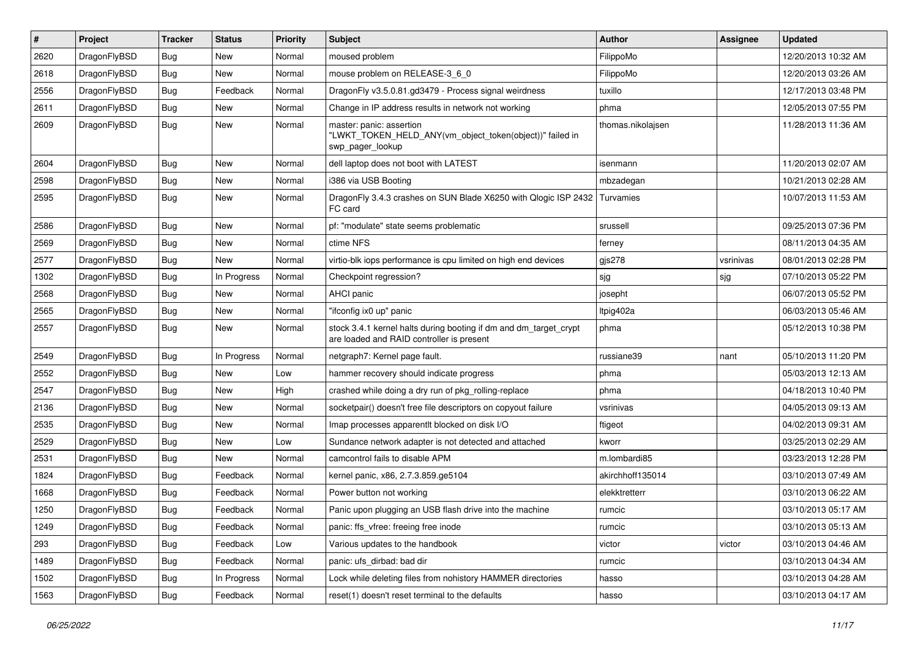| #    | Project      | <b>Tracker</b> | <b>Status</b> | <b>Priority</b> | Subject                                                                                                        | <b>Author</b>     | <b>Assignee</b> | <b>Updated</b>      |
|------|--------------|----------------|---------------|-----------------|----------------------------------------------------------------------------------------------------------------|-------------------|-----------------|---------------------|
| 2620 | DragonFlyBSD | Bug            | <b>New</b>    | Normal          | moused problem                                                                                                 | FilippoMo         |                 | 12/20/2013 10:32 AM |
| 2618 | DragonFlyBSD | Bug            | <b>New</b>    | Normal          | mouse problem on RELEASE-3_6_0                                                                                 | FilippoMo         |                 | 12/20/2013 03:26 AM |
| 2556 | DragonFlyBSD | <b>Bug</b>     | Feedback      | Normal          | DragonFly v3.5.0.81.gd3479 - Process signal weirdness                                                          | tuxillo           |                 | 12/17/2013 03:48 PM |
| 2611 | DragonFlyBSD | Bug            | <b>New</b>    | Normal          | Change in IP address results in network not working                                                            | phma              |                 | 12/05/2013 07:55 PM |
| 2609 | DragonFlyBSD | Bug            | New           | Normal          | master: panic: assertion<br>"LWKT_TOKEN_HELD_ANY(vm_object_token(object))" failed in<br>swp_pager_lookup       | thomas.nikolajsen |                 | 11/28/2013 11:36 AM |
| 2604 | DragonFlyBSD | Bug            | <b>New</b>    | Normal          | dell laptop does not boot with LATEST                                                                          | isenmann          |                 | 11/20/2013 02:07 AM |
| 2598 | DragonFlyBSD | <b>Bug</b>     | <b>New</b>    | Normal          | i386 via USB Booting                                                                                           | mbzadegan         |                 | 10/21/2013 02:28 AM |
| 2595 | DragonFlyBSD | <b>Bug</b>     | <b>New</b>    | Normal          | DragonFly 3.4.3 crashes on SUN Blade X6250 with Qlogic ISP 2432<br>FC card                                     | Turvamies         |                 | 10/07/2013 11:53 AM |
| 2586 | DragonFlyBSD | Bug            | <b>New</b>    | Normal          | pf: "modulate" state seems problematic                                                                         | srussell          |                 | 09/25/2013 07:36 PM |
| 2569 | DragonFlyBSD | Bug            | <b>New</b>    | Normal          | ctime NFS                                                                                                      | ferney            |                 | 08/11/2013 04:35 AM |
| 2577 | DragonFlyBSD | Bug            | <b>New</b>    | Normal          | virtio-blk iops performance is cpu limited on high end devices                                                 | gjs278            | vsrinivas       | 08/01/2013 02:28 PM |
| 1302 | DragonFlyBSD | Bug            | In Progress   | Normal          | Checkpoint regression?                                                                                         | sjg               | sig             | 07/10/2013 05:22 PM |
| 2568 | DragonFlyBSD | Bug            | New           | Normal          | AHCI panic                                                                                                     | josepht           |                 | 06/07/2013 05:52 PM |
| 2565 | DragonFlyBSD | <b>Bug</b>     | <b>New</b>    | Normal          | "ifconfig ix0 up" panic                                                                                        | Itpig402a         |                 | 06/03/2013 05:46 AM |
| 2557 | DragonFlyBSD | Bug            | <b>New</b>    | Normal          | stock 3.4.1 kernel halts during booting if dm and dm_target_crypt<br>are loaded and RAID controller is present | phma              |                 | 05/12/2013 10:38 PM |
| 2549 | DragonFlyBSD | Bug            | In Progress   | Normal          | netgraph7: Kernel page fault.                                                                                  | russiane39        | nant            | 05/10/2013 11:20 PM |
| 2552 | DragonFlyBSD | <b>Bug</b>     | <b>New</b>    | Low             | hammer recovery should indicate progress                                                                       | phma              |                 | 05/03/2013 12:13 AM |
| 2547 | DragonFlyBSD | Bug            | <b>New</b>    | High            | crashed while doing a dry run of pkg rolling-replace                                                           | phma              |                 | 04/18/2013 10:40 PM |
| 2136 | DragonFlyBSD | <b>Bug</b>     | <b>New</b>    | Normal          | socketpair() doesn't free file descriptors on copyout failure                                                  | vsrinivas         |                 | 04/05/2013 09:13 AM |
| 2535 | DragonFlyBSD | Bug            | <b>New</b>    | Normal          | Imap processes apparentlt blocked on disk I/O                                                                  | ftigeot           |                 | 04/02/2013 09:31 AM |
| 2529 | DragonFlyBSD | <b>Bug</b>     | New           | Low             | Sundance network adapter is not detected and attached                                                          | kworr             |                 | 03/25/2013 02:29 AM |
| 2531 | DragonFlyBSD | <b>Bug</b>     | <b>New</b>    | Normal          | camcontrol fails to disable APM                                                                                | m.lombardi85      |                 | 03/23/2013 12:28 PM |
| 1824 | DragonFlyBSD | <b>Bug</b>     | Feedback      | Normal          | kernel panic, x86, 2.7.3.859.ge5104                                                                            | akirchhoff135014  |                 | 03/10/2013 07:49 AM |
| 1668 | DragonFlyBSD | <b>Bug</b>     | Feedback      | Normal          | Power button not working                                                                                       | elekktretterr     |                 | 03/10/2013 06:22 AM |
| 1250 | DragonFlyBSD | Bug            | Feedback      | Normal          | Panic upon plugging an USB flash drive into the machine                                                        | rumcic            |                 | 03/10/2013 05:17 AM |
| 1249 | DragonFlyBSD | <b>Bug</b>     | Feedback      | Normal          | panic: ffs_vfree: freeing free inode                                                                           | rumcic            |                 | 03/10/2013 05:13 AM |
| 293  | DragonFlyBSD | <b>Bug</b>     | Feedback      | Low             | Various updates to the handbook                                                                                | victor            | victor          | 03/10/2013 04:46 AM |
| 1489 | DragonFlyBSD | <b>Bug</b>     | Feedback      | Normal          | panic: ufs dirbad: bad dir                                                                                     | rumcic            |                 | 03/10/2013 04:34 AM |
| 1502 | DragonFlyBSD | Bug            | In Progress   | Normal          | Lock while deleting files from nohistory HAMMER directories                                                    | hasso             |                 | 03/10/2013 04:28 AM |
| 1563 | DragonFlyBSD | Bug            | Feedback      | Normal          | reset(1) doesn't reset terminal to the defaults                                                                | hasso             |                 | 03/10/2013 04:17 AM |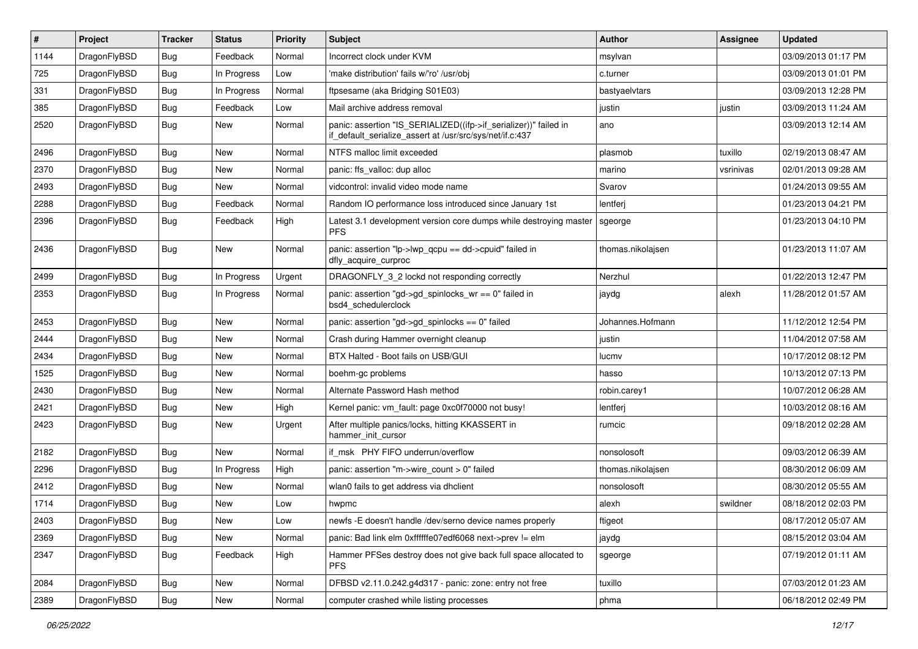| $\sharp$ | Project      | <b>Tracker</b> | <b>Status</b> | <b>Priority</b> | Subject                                                                                                                      | <b>Author</b>     | Assignee  | <b>Updated</b>      |
|----------|--------------|----------------|---------------|-----------------|------------------------------------------------------------------------------------------------------------------------------|-------------------|-----------|---------------------|
| 1144     | DragonFlyBSD | <b>Bug</b>     | Feedback      | Normal          | Incorrect clock under KVM                                                                                                    | msylvan           |           | 03/09/2013 01:17 PM |
| 725      | DragonFlyBSD | Bug            | In Progress   | Low             | 'make distribution' fails w/'ro' /usr/obj                                                                                    | c.turner          |           | 03/09/2013 01:01 PM |
| 331      | DragonFlyBSD | <b>Bug</b>     | In Progress   | Normal          | ftpsesame (aka Bridging S01E03)                                                                                              | bastyaelvtars     |           | 03/09/2013 12:28 PM |
| 385      | DragonFlyBSD | <b>Bug</b>     | Feedback      | Low             | Mail archive address removal                                                                                                 | justin            | justin    | 03/09/2013 11:24 AM |
| 2520     | DragonFlyBSD | Bug            | <b>New</b>    | Normal          | panic: assertion "IS_SERIALIZED((ifp->if_serializer))" failed in<br>if default serialize assert at /usr/src/sys/net/if.c:437 | ano               |           | 03/09/2013 12:14 AM |
| 2496     | DragonFlyBSD | Bug            | <b>New</b>    | Normal          | NTFS malloc limit exceeded                                                                                                   | plasmob           | tuxillo   | 02/19/2013 08:47 AM |
| 2370     | DragonFlyBSD | <b>Bug</b>     | <b>New</b>    | Normal          | panic: ffs_valloc: dup alloc                                                                                                 | marino            | vsrinivas | 02/01/2013 09:28 AM |
| 2493     | DragonFlyBSD | <b>Bug</b>     | New           | Normal          | vidcontrol: invalid video mode name                                                                                          | Svarov            |           | 01/24/2013 09:55 AM |
| 2288     | DragonFlyBSD | Bug            | Feedback      | Normal          | Random IO performance loss introduced since January 1st                                                                      | lentferj          |           | 01/23/2013 04:21 PM |
| 2396     | DragonFlyBSD | <b>Bug</b>     | Feedback      | High            | Latest 3.1 development version core dumps while destroying master<br><b>PFS</b>                                              | sgeorge           |           | 01/23/2013 04:10 PM |
| 2436     | DragonFlyBSD | <b>Bug</b>     | <b>New</b>    | Normal          | panic: assertion "lp->lwp_qcpu == dd->cpuid" failed in<br>dfly_acquire_curproc                                               | thomas.nikolajsen |           | 01/23/2013 11:07 AM |
| 2499     | DragonFlyBSD | Bug            | In Progress   | Urgent          | DRAGONFLY_3_2 lockd not responding correctly                                                                                 | Nerzhul           |           | 01/22/2013 12:47 PM |
| 2353     | DragonFlyBSD | Bug            | In Progress   | Normal          | panic: assertion "gd->gd_spinlocks_wr == 0" failed in<br>bsd4_schedulerclock                                                 | jaydg             | alexh     | 11/28/2012 01:57 AM |
| 2453     | DragonFlyBSD | Bug            | <b>New</b>    | Normal          | panic: assertion "gd->gd_spinlocks == 0" failed                                                                              | Johannes.Hofmann  |           | 11/12/2012 12:54 PM |
| 2444     | DragonFlyBSD | <b>Bug</b>     | New           | Normal          | Crash during Hammer overnight cleanup                                                                                        | justin            |           | 11/04/2012 07:58 AM |
| 2434     | DragonFlyBSD | <b>Bug</b>     | <b>New</b>    | Normal          | BTX Halted - Boot fails on USB/GUI                                                                                           | lucmv             |           | 10/17/2012 08:12 PM |
| 1525     | DragonFlyBSD | <b>Bug</b>     | <b>New</b>    | Normal          | boehm-gc problems                                                                                                            | hasso             |           | 10/13/2012 07:13 PM |
| 2430     | DragonFlyBSD | <b>Bug</b>     | <b>New</b>    | Normal          | Alternate Password Hash method                                                                                               | robin.carey1      |           | 10/07/2012 06:28 AM |
| 2421     | DragonFlyBSD | Bug            | New           | High            | Kernel panic: vm_fault: page 0xc0f70000 not busy!                                                                            | lentferj          |           | 10/03/2012 08:16 AM |
| 2423     | DragonFlyBSD | Bug            | <b>New</b>    | Urgent          | After multiple panics/locks, hitting KKASSERT in<br>hammer init cursor                                                       | rumcic            |           | 09/18/2012 02:28 AM |
| 2182     | DragonFlyBSD | Bug            | <b>New</b>    | Normal          | if msk PHY FIFO underrun/overflow                                                                                            | nonsolosoft       |           | 09/03/2012 06:39 AM |
| 2296     | DragonFlyBSD | <b>Bug</b>     | In Progress   | High            | panic: assertion "m->wire_count > 0" failed                                                                                  | thomas.nikolajsen |           | 08/30/2012 06:09 AM |
| 2412     | DragonFlyBSD | <b>Bug</b>     | <b>New</b>    | Normal          | wlan0 fails to get address via dhclient                                                                                      | nonsolosoft       |           | 08/30/2012 05:55 AM |
| 1714     | DragonFlyBSD | <b>Bug</b>     | <b>New</b>    | Low             | hwpmc                                                                                                                        | alexh             | swildner  | 08/18/2012 02:03 PM |
| 2403     | DragonFlyBSD | <b>Bug</b>     | New           | LOW             | newfs -E doesn't handle /dev/serno device names properly                                                                     | ftigeot           |           | 08/17/2012 05:07 AM |
| 2369     | DragonFlyBSD | <b>Bug</b>     | New           | Normal          | panic: Bad link elm 0xffffffe07edf6068 next->prev != elm                                                                     | jaydg             |           | 08/15/2012 03:04 AM |
| 2347     | DragonFlyBSD | <b>Bug</b>     | Feedback      | High            | Hammer PFSes destroy does not give back full space allocated to<br><b>PFS</b>                                                | sgeorge           |           | 07/19/2012 01:11 AM |
| 2084     | DragonFlyBSD | Bug            | <b>New</b>    | Normal          | DFBSD v2.11.0.242.g4d317 - panic: zone: entry not free                                                                       | tuxillo           |           | 07/03/2012 01:23 AM |
| 2389     | DragonFlyBSD | <b>Bug</b>     | New           | Normal          | computer crashed while listing processes                                                                                     | phma              |           | 06/18/2012 02:49 PM |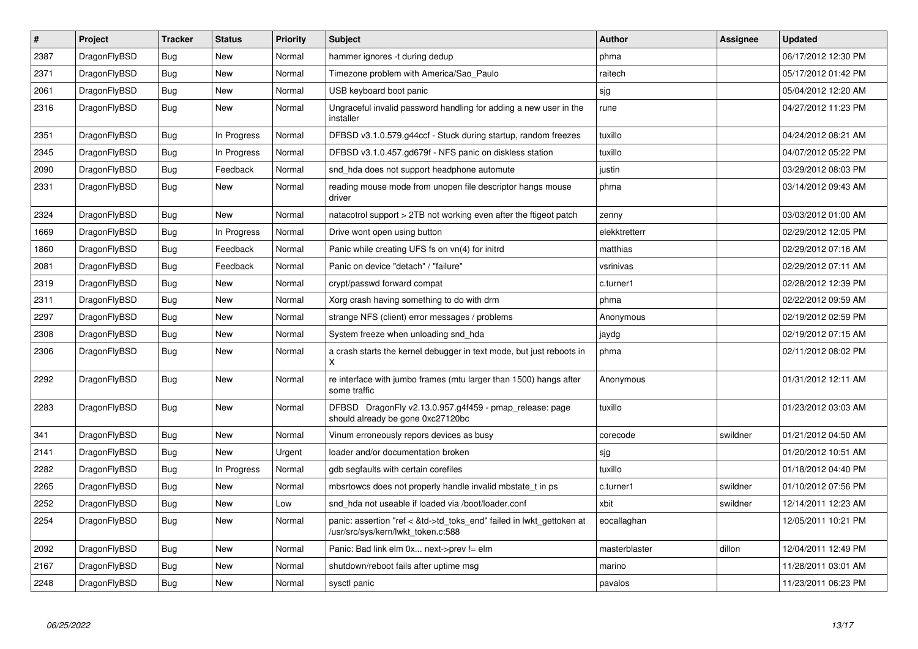| $\vert$ # | Project      | <b>Tracker</b> | <b>Status</b> | <b>Priority</b> | <b>Subject</b>                                                                                             | <b>Author</b> | Assignee | Updated             |
|-----------|--------------|----------------|---------------|-----------------|------------------------------------------------------------------------------------------------------------|---------------|----------|---------------------|
| 2387      | DragonFlyBSD | <b>Bug</b>     | New           | Normal          | hammer ignores -t during dedup                                                                             | phma          |          | 06/17/2012 12:30 PM |
| 2371      | DragonFlyBSD | Bug            | <b>New</b>    | Normal          | Timezone problem with America/Sao Paulo                                                                    | raitech       |          | 05/17/2012 01:42 PM |
| 2061      | DragonFlyBSD | Bug            | <b>New</b>    | Normal          | USB keyboard boot panic                                                                                    | sjg           |          | 05/04/2012 12:20 AM |
| 2316      | DragonFlyBSD | <b>Bug</b>     | <b>New</b>    | Normal          | Ungraceful invalid password handling for adding a new user in the<br>installer                             | rune          |          | 04/27/2012 11:23 PM |
| 2351      | DragonFlyBSD | Bug            | In Progress   | Normal          | DFBSD v3.1.0.579.g44ccf - Stuck during startup, random freezes                                             | tuxillo       |          | 04/24/2012 08:21 AM |
| 2345      | DragonFlyBSD | Bug            | In Progress   | Normal          | DFBSD v3.1.0.457.gd679f - NFS panic on diskless station                                                    | tuxillo       |          | 04/07/2012 05:22 PM |
| 2090      | DragonFlyBSD | <b>Bug</b>     | Feedback      | Normal          | snd_hda does not support headphone automute                                                                | justin        |          | 03/29/2012 08:03 PM |
| 2331      | DragonFlyBSD | <b>Bug</b>     | New           | Normal          | reading mouse mode from unopen file descriptor hangs mouse<br>driver                                       | phma          |          | 03/14/2012 09:43 AM |
| 2324      | DragonFlyBSD | Bug            | <b>New</b>    | Normal          | natacotrol support > 2TB not working even after the ftigeot patch                                          | zenny         |          | 03/03/2012 01:00 AM |
| 1669      | DragonFlyBSD | Bug            | In Progress   | Normal          | Drive wont open using button                                                                               | elekktretterr |          | 02/29/2012 12:05 PM |
| 1860      | DragonFlyBSD | Bug            | Feedback      | Normal          | Panic while creating UFS fs on vn(4) for initrd                                                            | matthias      |          | 02/29/2012 07:16 AM |
| 2081      | DragonFlyBSD | <b>Bug</b>     | Feedback      | Normal          | Panic on device "detach" / "failure"                                                                       | vsrinivas     |          | 02/29/2012 07:11 AM |
| 2319      | DragonFlyBSD | <b>Bug</b>     | <b>New</b>    | Normal          | crypt/passwd forward compat                                                                                | c.turner1     |          | 02/28/2012 12:39 PM |
| 2311      | DragonFlyBSD | Bug            | <b>New</b>    | Normal          | Xorg crash having something to do with drm                                                                 | phma          |          | 02/22/2012 09:59 AM |
| 2297      | DragonFlyBSD | Bug            | <b>New</b>    | Normal          | strange NFS (client) error messages / problems                                                             | Anonymous     |          | 02/19/2012 02:59 PM |
| 2308      | DragonFlyBSD | Bug            | <b>New</b>    | Normal          | System freeze when unloading snd hda                                                                       | jaydg         |          | 02/19/2012 07:15 AM |
| 2306      | DragonFlyBSD | <b>Bug</b>     | New           | Normal          | a crash starts the kernel debugger in text mode, but just reboots in<br>X                                  | phma          |          | 02/11/2012 08:02 PM |
| 2292      | DragonFlyBSD | <b>Bug</b>     | <b>New</b>    | Normal          | re interface with jumbo frames (mtu larger than 1500) hangs after<br>some traffic                          | Anonymous     |          | 01/31/2012 12:11 AM |
| 2283      | DragonFlyBSD | Bug            | <b>New</b>    | Normal          | DFBSD DragonFly v2.13.0.957.g4f459 - pmap_release: page<br>should already be gone 0xc27120bc               | tuxillo       |          | 01/23/2012 03:03 AM |
| 341       | DragonFlyBSD | Bug            | <b>New</b>    | Normal          | Vinum erroneously repors devices as busy                                                                   | corecode      | swildner | 01/21/2012 04:50 AM |
| 2141      | DragonFlyBSD | <b>Bug</b>     | <b>New</b>    | Urgent          | loader and/or documentation broken                                                                         | sjg           |          | 01/20/2012 10:51 AM |
| 2282      | DragonFlyBSD | Bug            | In Progress   | Normal          | gdb segfaults with certain corefiles                                                                       | tuxillo       |          | 01/18/2012 04:40 PM |
| 2265      | DragonFlyBSD | <b>Bug</b>     | New           | Normal          | mbsrtowcs does not properly handle invalid mbstate t in ps                                                 | c.turner1     | swildner | 01/10/2012 07:56 PM |
| 2252      | DragonFlyBSD | <b>Bug</b>     | <b>New</b>    | Low             | snd hda not useable if loaded via /boot/loader.conf                                                        | xbit          | swildner | 12/14/2011 12:23 AM |
| 2254      | DragonFlyBSD | Bug            | New           | Normal          | panic: assertion "ref < &td->td_toks_end" failed in lwkt_gettoken at<br>/usr/src/sys/kern/lwkt_token.c:588 | eocallaghan   |          | 12/05/2011 10:21 PM |
| 2092      | DragonFlyBSD | Bug            | <b>New</b>    | Normal          | Panic: Bad link elm 0x next->prev != elm                                                                   | masterblaster | dillon   | 12/04/2011 12:49 PM |
| 2167      | DragonFlyBSD | Bug            | <b>New</b>    | Normal          | shutdown/reboot fails after uptime msg                                                                     | marino        |          | 11/28/2011 03:01 AM |
| 2248      | DragonFlyBSD | <b>Bug</b>     | <b>New</b>    | Normal          | sysctl panic                                                                                               | pavalos       |          | 11/23/2011 06:23 PM |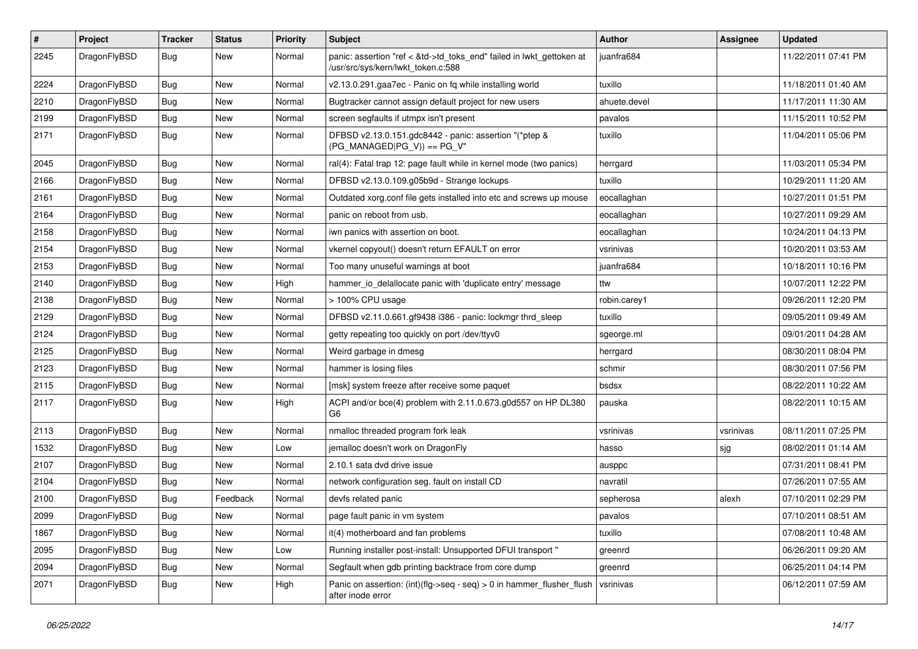| $\sharp$ | Project      | <b>Tracker</b> | <b>Status</b> | <b>Priority</b> | Subject                                                                                                    | <b>Author</b> | Assignee  | <b>Updated</b>      |
|----------|--------------|----------------|---------------|-----------------|------------------------------------------------------------------------------------------------------------|---------------|-----------|---------------------|
| 2245     | DragonFlyBSD | Bug            | New           | Normal          | panic: assertion "ref < &td->td_toks_end" failed in lwkt_gettoken at<br>/usr/src/sys/kern/lwkt_token.c:588 | juanfra684    |           | 11/22/2011 07:41 PM |
| 2224     | DragonFlyBSD | Bug            | <b>New</b>    | Normal          | v2.13.0.291.gaa7ec - Panic on fq while installing world                                                    | tuxillo       |           | 11/18/2011 01:40 AM |
| 2210     | DragonFlyBSD | Bug            | <b>New</b>    | Normal          | Bugtracker cannot assign default project for new users                                                     | ahuete.devel  |           | 11/17/2011 11:30 AM |
| 2199     | DragonFlyBSD | <b>Bug</b>     | New           | Normal          | screen segfaults if utmpx isn't present                                                                    | pavalos       |           | 11/15/2011 10:52 PM |
| 2171     | DragonFlyBSD | <b>Bug</b>     | New           | Normal          | DFBSD v2.13.0.151.gdc8442 - panic: assertion "(*ptep &<br>$(PG_MANAGED PG_V)) == PG_V"$                    | tuxillo       |           | 11/04/2011 05:06 PM |
| 2045     | DragonFlyBSD | <b>Bug</b>     | <b>New</b>    | Normal          | ral(4): Fatal trap 12: page fault while in kernel mode (two panics)                                        | herrgard      |           | 11/03/2011 05:34 PM |
| 2166     | DragonFlyBSD | <b>Bug</b>     | <b>New</b>    | Normal          | DFBSD v2.13.0.109.g05b9d - Strange lockups                                                                 | tuxillo       |           | 10/29/2011 11:20 AM |
| 2161     | DragonFlyBSD | <b>Bug</b>     | New           | Normal          | Outdated xorg.conf file gets installed into etc and screws up mouse                                        | eocallaghan   |           | 10/27/2011 01:51 PM |
| 2164     | DragonFlyBSD | Bug            | New           | Normal          | panic on reboot from usb.                                                                                  | eocallaghan   |           | 10/27/2011 09:29 AM |
| 2158     | DragonFlyBSD | Bug            | New           | Normal          | iwn panics with assertion on boot.                                                                         | eocallaghan   |           | 10/24/2011 04:13 PM |
| 2154     | DragonFlyBSD | <b>Bug</b>     | New           | Normal          | vkernel copyout() doesn't return EFAULT on error                                                           | vsrinivas     |           | 10/20/2011 03:53 AM |
| 2153     | DragonFlyBSD | <b>Bug</b>     | <b>New</b>    | Normal          | Too many unuseful warnings at boot                                                                         | juanfra684    |           | 10/18/2011 10:16 PM |
| 2140     | DragonFlyBSD | <b>Bug</b>     | New           | High            | hammer_io_delallocate panic with 'duplicate entry' message                                                 | ttw           |           | 10/07/2011 12:22 PM |
| 2138     | DragonFlyBSD | Bug            | New           | Normal          | > 100% CPU usage                                                                                           | robin.carey1  |           | 09/26/2011 12:20 PM |
| 2129     | DragonFlyBSD | Bug            | <b>New</b>    | Normal          | DFBSD v2.11.0.661.gf9438 i386 - panic: lockmgr thrd_sleep                                                  | tuxillo       |           | 09/05/2011 09:49 AM |
| 2124     | DragonFlyBSD | <b>Bug</b>     | <b>New</b>    | Normal          | getty repeating too quickly on port /dev/ttyv0                                                             | sgeorge.ml    |           | 09/01/2011 04:28 AM |
| 2125     | DragonFlyBSD | Bug            | New           | Normal          | Weird garbage in dmesg                                                                                     | herrgard      |           | 08/30/2011 08:04 PM |
| 2123     | DragonFlyBSD | Bug            | New           | Normal          | hammer is losing files                                                                                     | schmir        |           | 08/30/2011 07:56 PM |
| 2115     | DragonFlyBSD | Bug            | New           | Normal          | [msk] system freeze after receive some paquet                                                              | bsdsx         |           | 08/22/2011 10:22 AM |
| 2117     | DragonFlyBSD | Bug            | New           | High            | ACPI and/or bce(4) problem with 2.11.0.673.g0d557 on HP DL380<br>G6                                        | pauska        |           | 08/22/2011 10:15 AM |
| 2113     | DragonFlyBSD | Bug            | <b>New</b>    | Normal          | nmalloc threaded program fork leak                                                                         | vsrinivas     | vsrinivas | 08/11/2011 07:25 PM |
| 1532     | DragonFlyBSD | Bug            | <b>New</b>    | Low             | jemalloc doesn't work on DragonFly                                                                         | hasso         | sjg       | 08/02/2011 01:14 AM |
| 2107     | DragonFlyBSD | Bug            | New           | Normal          | 2.10.1 sata dvd drive issue                                                                                | ausppc        |           | 07/31/2011 08:41 PM |
| 2104     | DragonFlyBSD | Bug            | New           | Normal          | network configuration seg. fault on install CD                                                             | navratil      |           | 07/26/2011 07:55 AM |
| 2100     | DragonFlyBSD | Bug            | Feedback      | Normal          | devfs related panic                                                                                        | sepherosa     | alexh     | 07/10/2011 02:29 PM |
| 2099     | DragonFlyBSD | Bug            | <b>New</b>    | Normal          | page fault panic in vm system                                                                              | pavalos       |           | 07/10/2011 08:51 AM |
| 1867     | DragonFlyBSD | <b>Bug</b>     | New           | Normal          | it(4) motherboard and fan problems                                                                         | tuxillo       |           | 07/08/2011 10:48 AM |
| 2095     | DragonFlyBSD | Bug            | New           | Low             | Running installer post-install: Unsupported DFUI transport"                                                | greenrd       |           | 06/26/2011 09:20 AM |
| 2094     | DragonFlyBSD | <b>Bug</b>     | New           | Normal          | Segfault when gdb printing backtrace from core dump                                                        | greenrd       |           | 06/25/2011 04:14 PM |
| 2071     | DragonFlyBSD | Bug            | New           | High            | Panic on assertion: (int)(flg->seq - seq) > 0 in hammer_flusher_flush<br>after inode error                 | vsrinivas     |           | 06/12/2011 07:59 AM |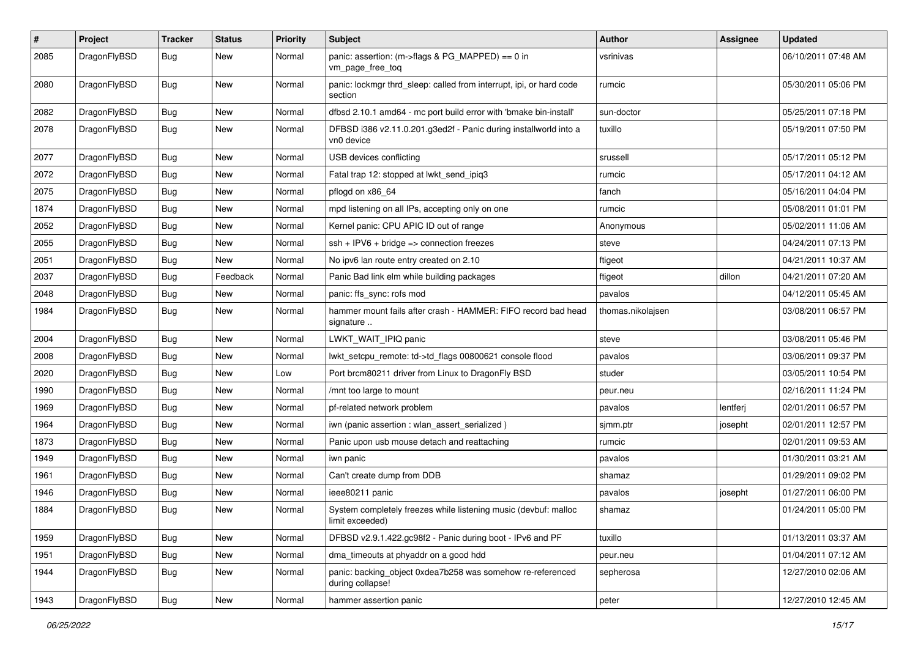| $\vert$ # | Project      | <b>Tracker</b> | <b>Status</b> | <b>Priority</b> | Subject                                                                            | Author            | <b>Assignee</b> | <b>Updated</b>      |
|-----------|--------------|----------------|---------------|-----------------|------------------------------------------------------------------------------------|-------------------|-----------------|---------------------|
| 2085      | DragonFlyBSD | Bug            | New           | Normal          | panic: assertion: (m->flags & PG_MAPPED) == 0 in<br>vm_page_free_toq               | vsrinivas         |                 | 06/10/2011 07:48 AM |
| 2080      | DragonFlyBSD | Bug            | <b>New</b>    | Normal          | panic: lockmgr thrd sleep: called from interrupt, ipi, or hard code<br>section     | rumcic            |                 | 05/30/2011 05:06 PM |
| 2082      | DragonFlyBSD | Bug            | <b>New</b>    | Normal          | dfbsd 2.10.1 amd64 - mc port build error with 'bmake bin-install'                  | sun-doctor        |                 | 05/25/2011 07:18 PM |
| 2078      | DragonFlyBSD | Bug            | New           | Normal          | DFBSD i386 v2.11.0.201.g3ed2f - Panic during installworld into a<br>vn0 device     | tuxillo           |                 | 05/19/2011 07:50 PM |
| 2077      | DragonFlyBSD | Bug            | New           | Normal          | USB devices conflicting                                                            | srussell          |                 | 05/17/2011 05:12 PM |
| 2072      | DragonFlyBSD | <b>Bug</b>     | <b>New</b>    | Normal          | Fatal trap 12: stopped at lwkt_send_ipiq3                                          | rumcic            |                 | 05/17/2011 04:12 AM |
| 2075      | DragonFlyBSD | <b>Bug</b>     | <b>New</b>    | Normal          | pflogd on x86_64                                                                   | fanch             |                 | 05/16/2011 04:04 PM |
| 1874      | DragonFlyBSD | <b>Bug</b>     | New           | Normal          | mpd listening on all IPs, accepting only on one                                    | rumcic            |                 | 05/08/2011 01:01 PM |
| 2052      | DragonFlyBSD | Bug            | New           | Normal          | Kernel panic: CPU APIC ID out of range                                             | Anonymous         |                 | 05/02/2011 11:06 AM |
| 2055      | DragonFlyBSD | Bug            | New           | Normal          | $ssh + IPV6 + bridge \Rightarrow connection freezes$                               | steve             |                 | 04/24/2011 07:13 PM |
| 2051      | DragonFlyBSD | <b>Bug</b>     | New           | Normal          | No ipv6 lan route entry created on 2.10                                            | ftigeot           |                 | 04/21/2011 10:37 AM |
| 2037      | DragonFlyBSD | <b>Bug</b>     | Feedback      | Normal          | Panic Bad link elm while building packages                                         | ftigeot           | dillon          | 04/21/2011 07:20 AM |
| 2048      | DragonFlyBSD | <b>Bug</b>     | New           | Normal          | panic: ffs sync: rofs mod                                                          | pavalos           |                 | 04/12/2011 05:45 AM |
| 1984      | DragonFlyBSD | Bug            | New           | Normal          | hammer mount fails after crash - HAMMER: FIFO record bad head<br>signature         | thomas.nikolajsen |                 | 03/08/2011 06:57 PM |
| 2004      | DragonFlyBSD | Bug            | <b>New</b>    | Normal          | LWKT_WAIT_IPIQ panic                                                               | steve             |                 | 03/08/2011 05:46 PM |
| 2008      | DragonFlyBSD | Bug            | <b>New</b>    | Normal          | lwkt_setcpu_remote: td->td_flags 00800621 console flood                            | pavalos           |                 | 03/06/2011 09:37 PM |
| 2020      | DragonFlyBSD | Bug            | New           | Low             | Port brcm80211 driver from Linux to DragonFly BSD                                  | studer            |                 | 03/05/2011 10:54 PM |
| 1990      | DragonFlyBSD | <b>Bug</b>     | New           | Normal          | /mnt too large to mount                                                            | peur.neu          |                 | 02/16/2011 11:24 PM |
| 1969      | DragonFlyBSD | Bug            | New           | Normal          | pf-related network problem                                                         | pavalos           | lentferj        | 02/01/2011 06:57 PM |
| 1964      | DragonFlyBSD | <b>Bug</b>     | New           | Normal          | iwn (panic assertion : wlan assert serialized)                                     | sjmm.ptr          | josepht         | 02/01/2011 12:57 PM |
| 1873      | DragonFlyBSD | Bug            | New           | Normal          | Panic upon usb mouse detach and reattaching                                        | rumcic            |                 | 02/01/2011 09:53 AM |
| 1949      | DragonFlyBSD | Bug            | New           | Normal          | iwn panic                                                                          | pavalos           |                 | 01/30/2011 03:21 AM |
| 1961      | DragonFlyBSD | <b>Bug</b>     | New           | Normal          | Can't create dump from DDB                                                         | shamaz            |                 | 01/29/2011 09:02 PM |
| 1946      | DragonFlyBSD | Bug            | <b>New</b>    | Normal          | ieee80211 panic                                                                    | pavalos           | josepht         | 01/27/2011 06:00 PM |
| 1884      | DragonFlyBSD | Bug            | New           | Normal          | System completely freezes while listening music (devbuf: malloc<br>limit exceeded) | shamaz            |                 | 01/24/2011 05:00 PM |
| 1959      | DragonFlyBSD | Bug            | New           | Normal          | DFBSD v2.9.1.422.gc98f2 - Panic during boot - IPv6 and PF                          | tuxillo           |                 | 01/13/2011 03:37 AM |
| 1951      | DragonFlyBSD | <b>Bug</b>     | New           | Normal          | dma timeouts at phyaddr on a good hdd                                              | peur.neu          |                 | 01/04/2011 07:12 AM |
| 1944      | DragonFlyBSD | Bug            | New           | Normal          | panic: backing_object 0xdea7b258 was somehow re-referenced<br>during collapse!     | sepherosa         |                 | 12/27/2010 02:06 AM |
| 1943      | DragonFlyBSD | <b>Bug</b>     | New           | Normal          | hammer assertion panic                                                             | peter             |                 | 12/27/2010 12:45 AM |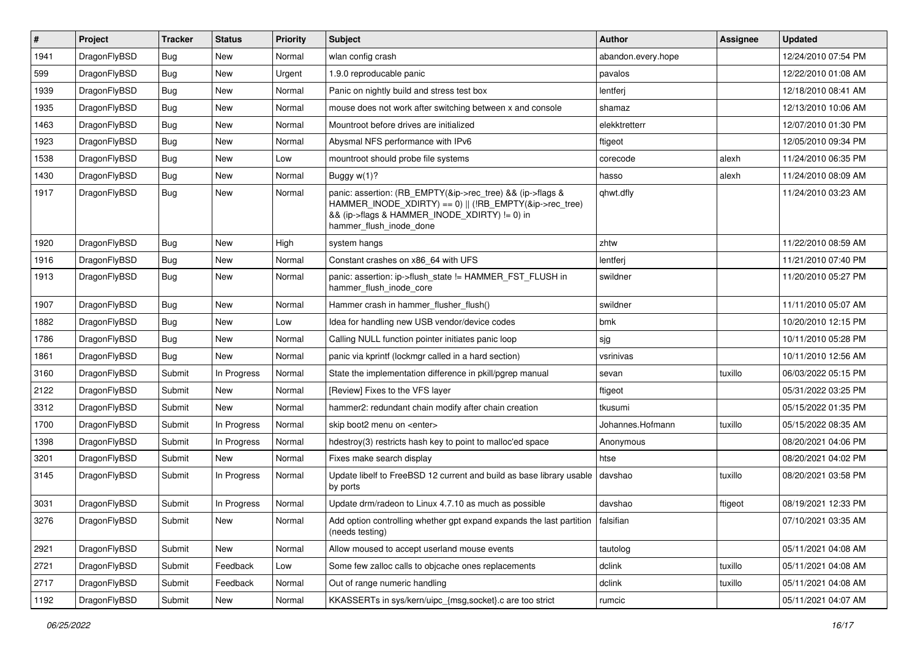| $\sharp$ | Project      | <b>Tracker</b> | <b>Status</b> | <b>Priority</b> | <b>Subject</b>                                                                                                                                                                                    | <b>Author</b>      | <b>Assignee</b> | <b>Updated</b>      |
|----------|--------------|----------------|---------------|-----------------|---------------------------------------------------------------------------------------------------------------------------------------------------------------------------------------------------|--------------------|-----------------|---------------------|
| 1941     | DragonFlyBSD | Bug            | <b>New</b>    | Normal          | wlan config crash                                                                                                                                                                                 | abandon.every.hope |                 | 12/24/2010 07:54 PM |
| 599      | DragonFlyBSD | <b>Bug</b>     | <b>New</b>    | Urgent          | 1.9.0 reproducable panic                                                                                                                                                                          | pavalos            |                 | 12/22/2010 01:08 AM |
| 1939     | DragonFlyBSD | <b>Bug</b>     | <b>New</b>    | Normal          | Panic on nightly build and stress test box                                                                                                                                                        | lentferj           |                 | 12/18/2010 08:41 AM |
| 1935     | DragonFlyBSD | Bug            | <b>New</b>    | Normal          | mouse does not work after switching between x and console                                                                                                                                         | shamaz             |                 | 12/13/2010 10:06 AM |
| 1463     | DragonFlyBSD | Bug            | <b>New</b>    | Normal          | Mountroot before drives are initialized                                                                                                                                                           | elekktretterr      |                 | 12/07/2010 01:30 PM |
| 1923     | DragonFlyBSD | Bug            | New           | Normal          | Abysmal NFS performance with IPv6                                                                                                                                                                 | ftigeot            |                 | 12/05/2010 09:34 PM |
| 1538     | DragonFlyBSD | Bug            | <b>New</b>    | Low             | mountroot should probe file systems                                                                                                                                                               | corecode           | alexh           | 11/24/2010 06:35 PM |
| 1430     | DragonFlyBSD | Bug            | <b>New</b>    | Normal          | Buggy w(1)?                                                                                                                                                                                       | hasso              | alexh           | 11/24/2010 08:09 AM |
| 1917     | DragonFlyBSD | Bug            | New           | Normal          | panic: assertion: (RB_EMPTY(&ip->rec_tree) && (ip->flags &<br>HAMMER_INODE_XDIRTY) == 0)    (!RB_EMPTY(&ip->rec_tree)<br>&& (ip->flags & HAMMER_INODE_XDIRTY) != 0) in<br>hammer_flush_inode_done | qhwt.dfly          |                 | 11/24/2010 03:23 AM |
| 1920     | DragonFlyBSD | Bug            | <b>New</b>    | High            | system hangs                                                                                                                                                                                      | zhtw               |                 | 11/22/2010 08:59 AM |
| 1916     | DragonFlyBSD | Bug            | <b>New</b>    | Normal          | Constant crashes on x86 64 with UFS                                                                                                                                                               | lentferj           |                 | 11/21/2010 07:40 PM |
| 1913     | DragonFlyBSD | Bug            | <b>New</b>    | Normal          | panic: assertion: ip->flush_state != HAMMER_FST_FLUSH in<br>hammer_flush_inode_core                                                                                                               | swildner           |                 | 11/20/2010 05:27 PM |
| 1907     | DragonFlyBSD | Bug            | <b>New</b>    | Normal          | Hammer crash in hammer_flusher_flush()                                                                                                                                                            | swildner           |                 | 11/11/2010 05:07 AM |
| 1882     | DragonFlyBSD | Bug            | <b>New</b>    | Low             | Idea for handling new USB vendor/device codes                                                                                                                                                     | bmk                |                 | 10/20/2010 12:15 PM |
| 1786     | DragonFlyBSD | Bug            | New           | Normal          | Calling NULL function pointer initiates panic loop                                                                                                                                                | sjg                |                 | 10/11/2010 05:28 PM |
| 1861     | DragonFlyBSD | Bug            | New           | Normal          | panic via kprintf (lockmgr called in a hard section)                                                                                                                                              | vsrinivas          |                 | 10/11/2010 12:56 AM |
| 3160     | DragonFlyBSD | Submit         | In Progress   | Normal          | State the implementation difference in pkill/pgrep manual                                                                                                                                         | sevan              | tuxillo         | 06/03/2022 05:15 PM |
| 2122     | DragonFlyBSD | Submit         | <b>New</b>    | Normal          | [Review] Fixes to the VFS layer                                                                                                                                                                   | ftigeot            |                 | 05/31/2022 03:25 PM |
| 3312     | DragonFlyBSD | Submit         | <b>New</b>    | Normal          | hammer2: redundant chain modify after chain creation                                                                                                                                              | tkusumi            |                 | 05/15/2022 01:35 PM |
| 1700     | DragonFlyBSD | Submit         | In Progress   | Normal          | skip boot2 menu on <enter></enter>                                                                                                                                                                | Johannes.Hofmann   | tuxillo         | 05/15/2022 08:35 AM |
| 1398     | DragonFlyBSD | Submit         | In Progress   | Normal          | hdestroy(3) restricts hash key to point to malloc'ed space                                                                                                                                        | Anonymous          |                 | 08/20/2021 04:06 PM |
| 3201     | DragonFlyBSD | Submit         | <b>New</b>    | Normal          | Fixes make search display                                                                                                                                                                         | htse               |                 | 08/20/2021 04:02 PM |
| 3145     | DragonFlyBSD | Submit         | In Progress   | Normal          | Update libelf to FreeBSD 12 current and build as base library usable<br>by ports                                                                                                                  | davshao            | tuxillo         | 08/20/2021 03:58 PM |
| 3031     | DragonFlyBSD | Submit         | In Progress   | Normal          | Update drm/radeon to Linux 4.7.10 as much as possible                                                                                                                                             | davshao            | ftigeot         | 08/19/2021 12:33 PM |
| 3276     | DragonFlyBSD | Submit         | New           | Normal          | Add option controlling whether gpt expand expands the last partition   falsifian<br>(needs testing)                                                                                               |                    |                 | 07/10/2021 03:35 AM |
| 2921     | DragonFlyBSD | Submit         | New           | Normal          | Allow moused to accept userland mouse events                                                                                                                                                      | tautolog           |                 | 05/11/2021 04:08 AM |
| 2721     | DragonFlyBSD | Submit         | Feedback      | Low             | Some few zalloc calls to objcache ones replacements                                                                                                                                               | dclink             | tuxillo         | 05/11/2021 04:08 AM |
| 2717     | DragonFlyBSD | Submit         | Feedback      | Normal          | Out of range numeric handling                                                                                                                                                                     | dclink             | tuxillo         | 05/11/2021 04:08 AM |
| 1192     | DragonFlyBSD | Submit         | New           | Normal          | KKASSERTs in sys/kern/uipc_{msg,socket}.c are too strict                                                                                                                                          | rumcic             |                 | 05/11/2021 04:07 AM |